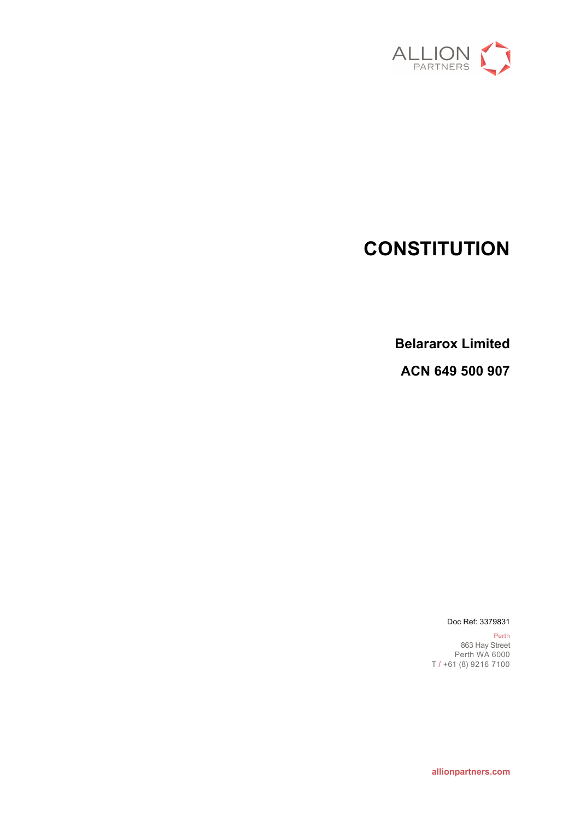

# **CONSTITUTION**

**Belararox Limited**

**ACN 649 500 907**

Doc Ref: 3379831

Perth 863 Hay Street Perth WA 6000 T / +61 (8) 9216 7100

**allionpartners.com**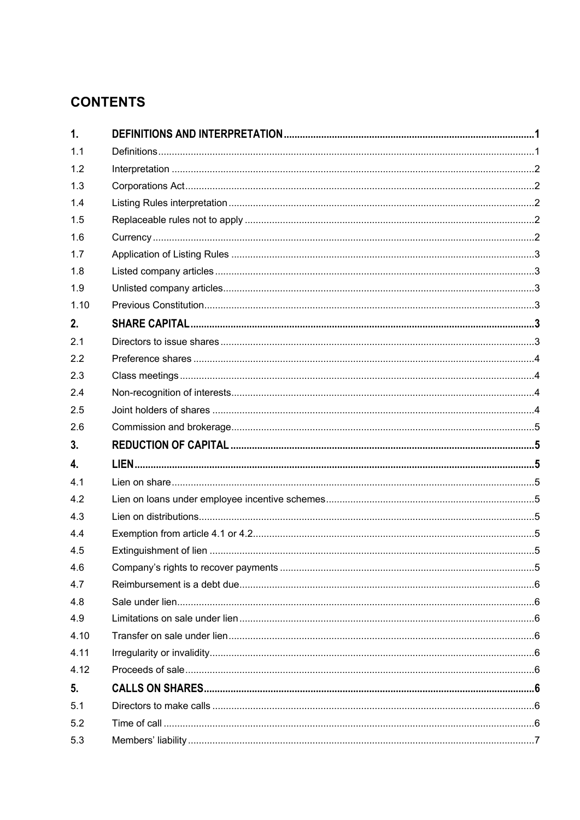## **CONTENTS**

| $\mathbf{1}$ .   |  |
|------------------|--|
| 1.1              |  |
| 1.2              |  |
| 1.3              |  |
| 1.4              |  |
| 1.5              |  |
| 1.6              |  |
| 1.7              |  |
| 1.8              |  |
| 1.9              |  |
| 1.10             |  |
| 2.               |  |
| 2.1              |  |
| 2.2              |  |
| 2.3              |  |
| 2.4              |  |
| 2.5              |  |
| 2.6              |  |
|                  |  |
| 3.               |  |
| $\overline{4}$ . |  |
| 4.1              |  |
| 4.2              |  |
| 4.3              |  |
| 4.4              |  |
| 4.5              |  |
| 4.6              |  |
| 4.7              |  |
| 4.8              |  |
| 4.9              |  |
| 4.10             |  |
| 4.11             |  |
| 4.12             |  |
| 5.               |  |
| 5.1              |  |
| 5.2              |  |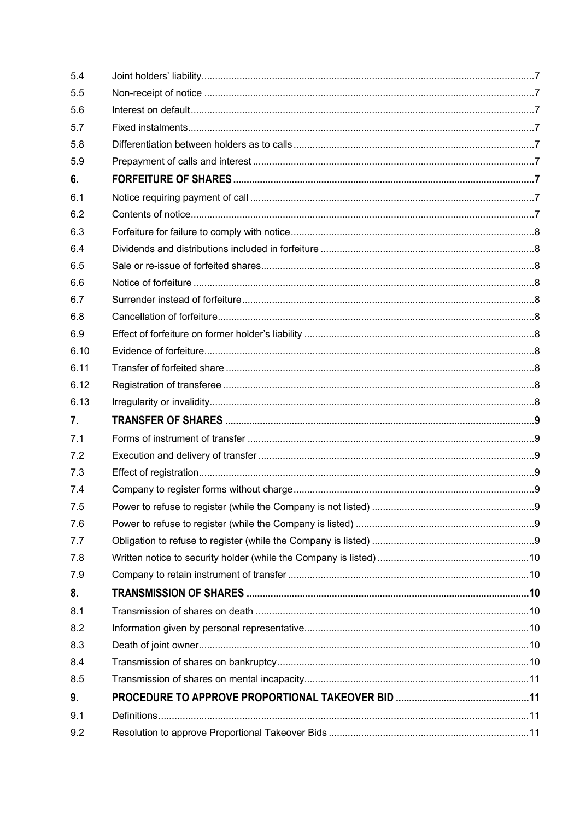| 9.2  |  |
|------|--|
| 9.1  |  |
| 9.   |  |
| 8.5  |  |
| 8.4  |  |
| 8.3  |  |
| 8.2  |  |
| 8.1  |  |
| 8.   |  |
| 7.9  |  |
| 7.8  |  |
| 7.7  |  |
| 7.6  |  |
| 7.5  |  |
| 7.4  |  |
| 7.3  |  |
| 7.2  |  |
| 7.1  |  |
| 7.   |  |
| 6.13 |  |
| 6.12 |  |
| 6.11 |  |
| 6.10 |  |
| 6.9  |  |
| 6.8  |  |
| 6.7  |  |
| 6.6  |  |
| 6.5  |  |
| 6.4  |  |
| 6.3  |  |
| 6.2  |  |
| 6.1  |  |
| 6.   |  |
| 5.9  |  |
| 5.8  |  |
| 5.7  |  |
| 5.6  |  |
| 5.5  |  |
| 5.4  |  |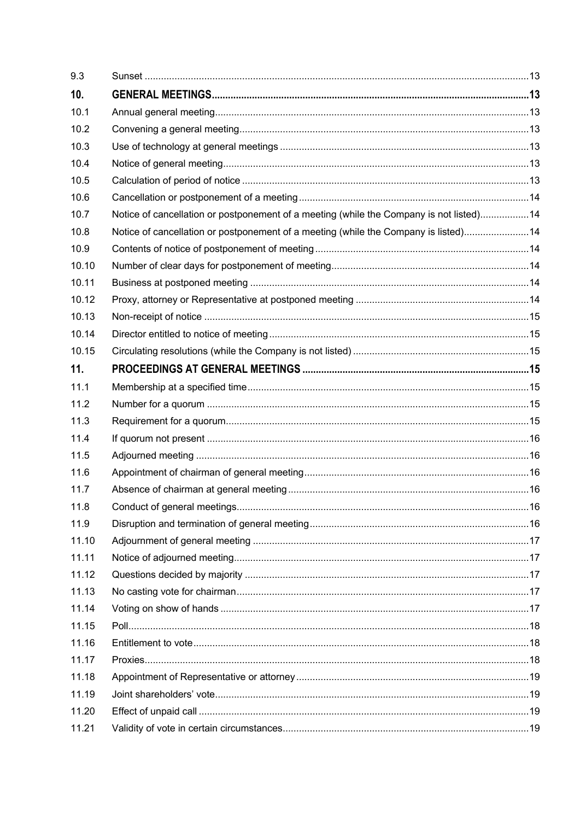| 9.3             |                                                                                         |  |
|-----------------|-----------------------------------------------------------------------------------------|--|
| 10 <sub>1</sub> |                                                                                         |  |
| 10.1            |                                                                                         |  |
| 10.2            |                                                                                         |  |
| 10.3            |                                                                                         |  |
| 10.4            |                                                                                         |  |
| 10.5            |                                                                                         |  |
| 10.6            |                                                                                         |  |
| 10.7            | Notice of cancellation or postponement of a meeting (while the Company is not listed)14 |  |
| 10.8            | Notice of cancellation or postponement of a meeting (while the Company is listed)14     |  |
| 10.9            |                                                                                         |  |
| 10.10           |                                                                                         |  |
| 10.11           |                                                                                         |  |
| 10.12           |                                                                                         |  |
| 10.13           |                                                                                         |  |
| 10.14           |                                                                                         |  |
| 10.15           |                                                                                         |  |
| 11.             |                                                                                         |  |
| 11.1            |                                                                                         |  |
| 11.2            |                                                                                         |  |
| 11.3            |                                                                                         |  |
| 11.4            |                                                                                         |  |
| 11.5            |                                                                                         |  |
| 11.6            |                                                                                         |  |
| 11.7            |                                                                                         |  |
| 11.8            |                                                                                         |  |
| 11.9            |                                                                                         |  |
| 11.10           |                                                                                         |  |
| 11.11           |                                                                                         |  |
| 11.12           |                                                                                         |  |
| 11.13           |                                                                                         |  |
| 11.14           |                                                                                         |  |
| 11.15           |                                                                                         |  |
| 11.16           |                                                                                         |  |
| 11.17           |                                                                                         |  |
| 11.18           |                                                                                         |  |
| 11.19           |                                                                                         |  |
| 11.20           |                                                                                         |  |
| 11.21           |                                                                                         |  |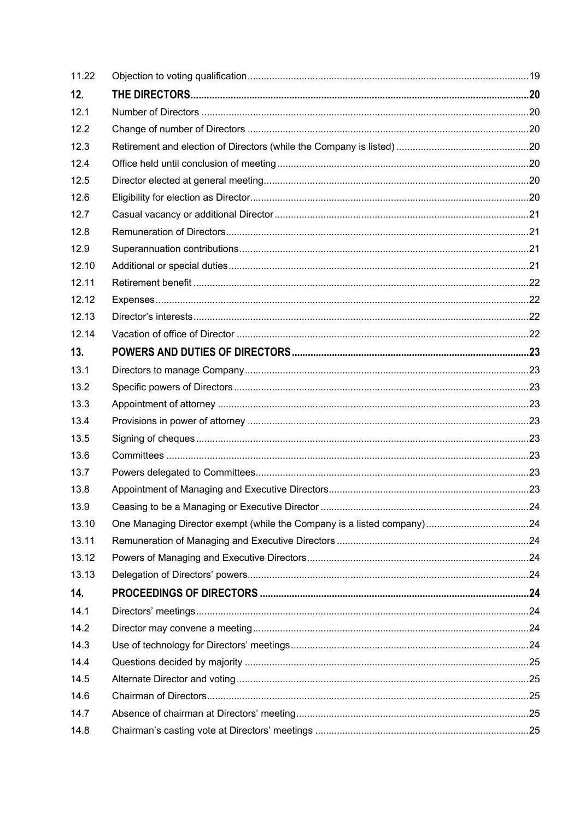| 11.22 |  |
|-------|--|
| 12.   |  |
| 12.1  |  |
| 12.2  |  |
| 12.3  |  |
| 12.4  |  |
| 12.5  |  |
| 12.6  |  |
| 12.7  |  |
| 12.8  |  |
| 12.9  |  |
| 12.10 |  |
| 12.11 |  |
| 12.12 |  |
| 12.13 |  |
| 12.14 |  |
| 13.   |  |
| 13.1  |  |
| 13.2  |  |
| 13.3  |  |
| 13.4  |  |
| 13.5  |  |
| 13.6  |  |
| 13.7  |  |
| 13.8  |  |
| 13.9  |  |
| 13.10 |  |
| 13.11 |  |
| 13.12 |  |
| 13.13 |  |
| 14.   |  |
| 14.1  |  |
| 14.2  |  |
| 14.3  |  |
| 14.4  |  |
| 14.5  |  |
| 14.6  |  |
| 14.7  |  |
| 14.8  |  |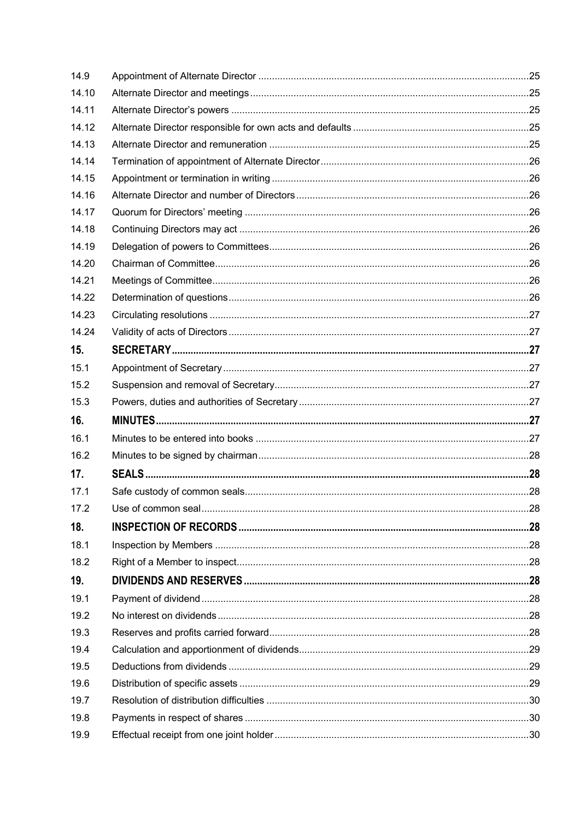| 14.9  |  |
|-------|--|
| 14.10 |  |
| 14.11 |  |
| 14.12 |  |
| 14.13 |  |
| 14.14 |  |
| 14.15 |  |
| 14.16 |  |
| 14.17 |  |
| 14.18 |  |
| 14.19 |  |
| 14.20 |  |
| 14.21 |  |
| 14.22 |  |
| 14.23 |  |
| 14.24 |  |
| 15.   |  |
| 15.1  |  |
| 15.2  |  |
| 15.3  |  |
|       |  |
| 16.   |  |
| 16.1  |  |
| 16.2  |  |
| 17.   |  |
| 17.1  |  |
| 17.2  |  |
| 18.   |  |
| 18.1  |  |
| 18.2  |  |
| 19.   |  |
| 19.1  |  |
| 19.2  |  |
| 19.3  |  |
| 19.4  |  |
| 19.5  |  |
| 19.6  |  |
| 19.7  |  |
| 19.8  |  |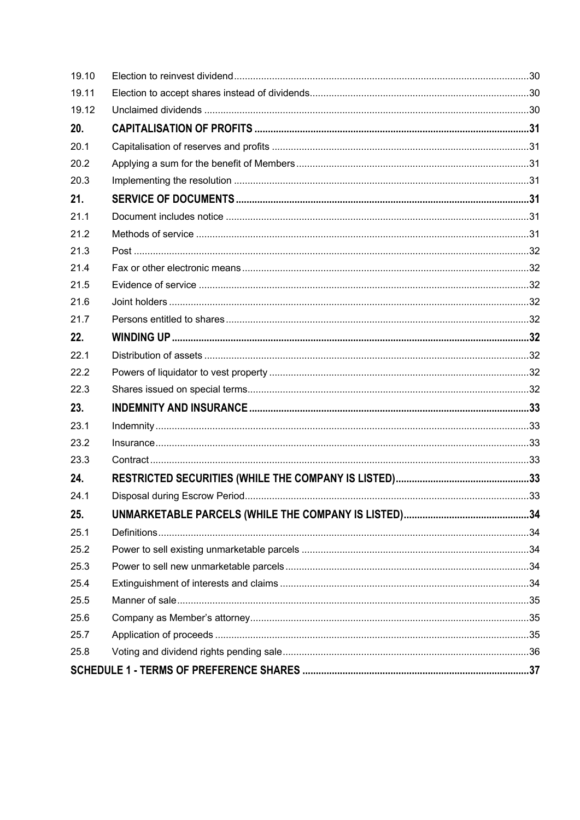| 19.10 |  |
|-------|--|
| 19.11 |  |
| 19.12 |  |
| 20.   |  |
| 20.1  |  |
| 20.2  |  |
| 20.3  |  |
| 21.   |  |
| 21.1  |  |
| 21.2  |  |
| 21.3  |  |
| 21.4  |  |
| 21.5  |  |
| 21.6  |  |
| 21.7  |  |
| 22.   |  |
| 22.1  |  |
| 22.2  |  |
| 22.3  |  |
| 23.   |  |
| 23.1  |  |
| 23.2  |  |
| 23.3  |  |
| 24.   |  |
| 24.1  |  |
| 25.   |  |
| 25.1  |  |
| 25.2  |  |
| 25.3  |  |
| 25.4  |  |
| 25.5  |  |
| 25.6  |  |
| 25.7  |  |
|       |  |
| 25.8  |  |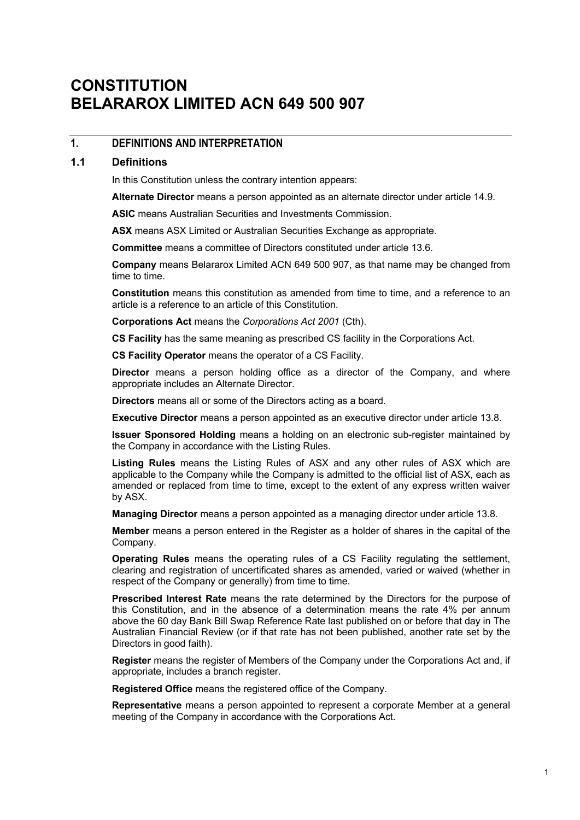## **CONSTITUTION BELARAROX LIMITED ACN 649 500 907**

### **1. DEFINITIONS AND INTERPRETATION**

#### **1.1 Definitions**

In this Constitution unless the contrary intention appears:

**Alternate Director** means a person appointed as an alternate director under article 14.9.

**ASIC** means Australian Securities and Investments Commission.

**ASX** means ASX Limited or Australian Securities Exchange as appropriate.

**Committee** means a committee of Directors constituted under article 13.6.

**Company** means Belararox Limited ACN 649 500 907, as that name may be changed from time to time.

**Constitution** means this constitution as amended from time to time, and a reference to an article is a reference to an article of this Constitution.

**Corporations Act** means the *Corporations Act 2001* (Cth).

**CS Facility** has the same meaning as prescribed CS facility in the Corporations Act.

**CS Facility Operator** means the operator of a CS Facility.

**Director** means a person holding office as a director of the Company, and where appropriate includes an Alternate Director.

**Directors** means all or some of the Directors acting as a board.

**Executive Director** means a person appointed as an executive director under article 13.8.

**Issuer Sponsored Holding** means a holding on an electronic sub-register maintained by the Company in accordance with the Listing Rules.

**Listing Rules** means the Listing Rules of ASX and any other rules of ASX which are applicable to the Company while the Company is admitted to the official list of ASX, each as amended or replaced from time to time, except to the extent of any express written waiver by ASX.

**Managing Director** means a person appointed as a managing director under article 13.8.

**Member** means a person entered in the Register as a holder of shares in the capital of the Company.

**Operating Rules** means the operating rules of a CS Facility regulating the settlement, clearing and registration of uncertificated shares as amended, varied or waived (whether in respect of the Company or generally) from time to time.

**Prescribed Interest Rate** means the rate determined by the Directors for the purpose of this Constitution, and in the absence of a determination means the rate 4% per annum above the 60 day Bank Bill Swap Reference Rate last published on or before that day in The Australian Financial Review (or if that rate has not been published, another rate set by the Directors in good faith).

**Register** means the register of Members of the Company under the Corporations Act and, if appropriate, includes a branch register.

**Registered Office** means the registered office of the Company.

**Representative** means a person appointed to represent a corporate Member at a general meeting of the Company in accordance with the Corporations Act.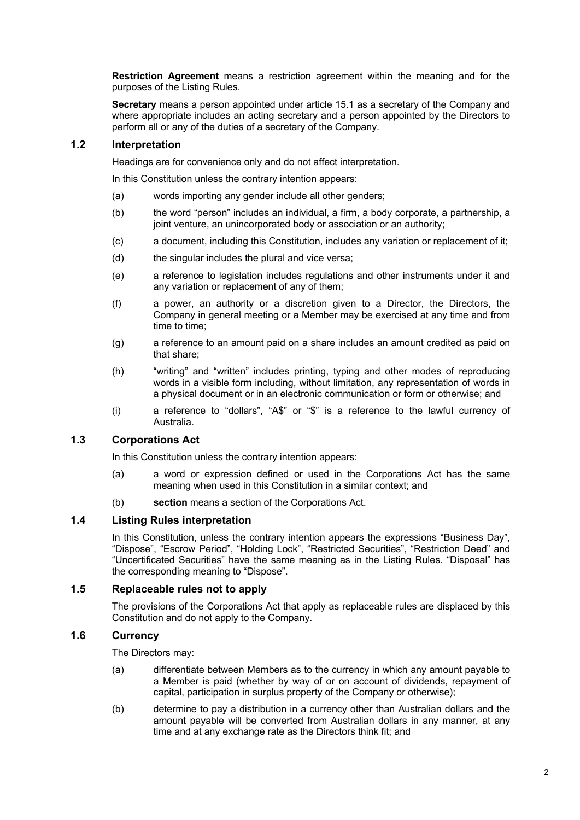**Restriction Agreement** means a restriction agreement within the meaning and for the purposes of the Listing Rules.

**Secretary** means a person appointed under article 15.1 as a secretary of the Company and where appropriate includes an acting secretary and a person appointed by the Directors to perform all or any of the duties of a secretary of the Company.

### **1.2 Interpretation**

Headings are for convenience only and do not affect interpretation.

In this Constitution unless the contrary intention appears:

- (a) words importing any gender include all other genders;
- (b) the word "person" includes an individual, a firm, a body corporate, a partnership, a joint venture, an unincorporated body or association or an authority;
- (c) a document, including this Constitution, includes any variation or replacement of it;
- (d) the singular includes the plural and vice versa;
- (e) a reference to legislation includes regulations and other instruments under it and any variation or replacement of any of them;
- (f) a power, an authority or a discretion given to a Director, the Directors, the Company in general meeting or a Member may be exercised at any time and from time to time;
- (g) a reference to an amount paid on a share includes an amount credited as paid on that share;
- (h) "writing" and "written" includes printing, typing and other modes of reproducing words in a visible form including, without limitation, any representation of words in a physical document or in an electronic communication or form or otherwise; and
- (i) a reference to "dollars", "A\$" or "\$" is a reference to the lawful currency of Australia.

### **1.3 Corporations Act**

In this Constitution unless the contrary intention appears:

- (a) a word or expression defined or used in the Corporations Act has the same meaning when used in this Constitution in a similar context; and
- (b) **section** means a section of the Corporations Act.

### **1.4 Listing Rules interpretation**

In this Constitution, unless the contrary intention appears the expressions "Business Day", "Dispose", "Escrow Period", "Holding Lock", "Restricted Securities", "Restriction Deed" and "Uncertificated Securities" have the same meaning as in the Listing Rules. "Disposal" has the corresponding meaning to "Dispose".

### **1.5 Replaceable rules not to apply**

The provisions of the Corporations Act that apply as replaceable rules are displaced by this Constitution and do not apply to the Company.

### **1.6 Currency**

The Directors may:

- (a) differentiate between Members as to the currency in which any amount payable to a Member is paid (whether by way of or on account of dividends, repayment of capital, participation in surplus property of the Company or otherwise);
- (b) determine to pay a distribution in a currency other than Australian dollars and the amount payable will be converted from Australian dollars in any manner, at any time and at any exchange rate as the Directors think fit; and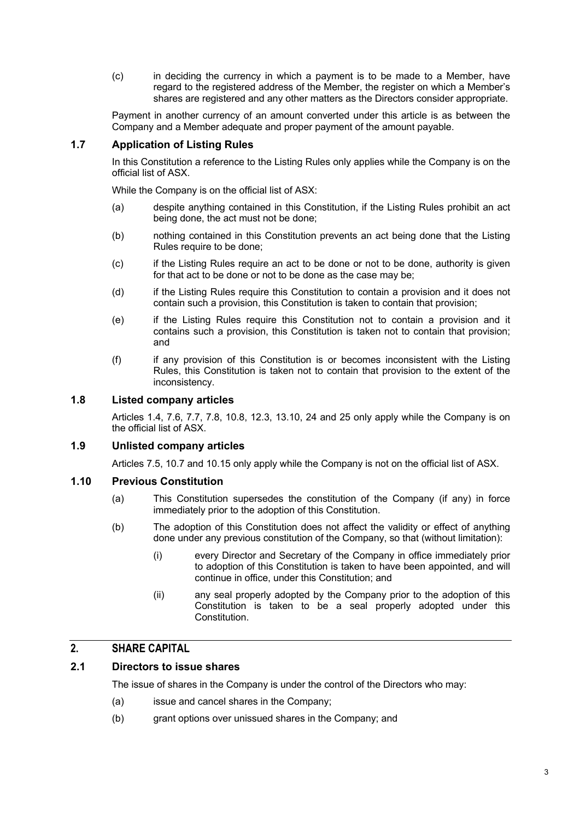(c) in deciding the currency in which a payment is to be made to a Member, have regard to the registered address of the Member, the register on which a Member's shares are registered and any other matters as the Directors consider appropriate.

Payment in another currency of an amount converted under this article is as between the Company and a Member adequate and proper payment of the amount payable.

### **1.7 Application of Listing Rules**

In this Constitution a reference to the Listing Rules only applies while the Company is on the official list of ASX.

While the Company is on the official list of ASX:

- (a) despite anything contained in this Constitution, if the Listing Rules prohibit an act being done, the act must not be done;
- (b) nothing contained in this Constitution prevents an act being done that the Listing Rules require to be done;
- (c) if the Listing Rules require an act to be done or not to be done, authority is given for that act to be done or not to be done as the case may be;
- (d) if the Listing Rules require this Constitution to contain a provision and it does not contain such a provision, this Constitution is taken to contain that provision;
- (e) if the Listing Rules require this Constitution not to contain a provision and it contains such a provision, this Constitution is taken not to contain that provision; and
- (f) if any provision of this Constitution is or becomes inconsistent with the Listing Rules, this Constitution is taken not to contain that provision to the extent of the inconsistency.

### **1.8 Listed company articles**

Articles 1.4, 7.6, 7.7, 7.8, 10.8, 12.3, 13.10, 24 and 25 only apply while the Company is on the official list of ASX.

### **1.9 Unlisted company articles**

Articles 7.5, 10.7 and 10.15 only apply while the Company is not on the official list of ASX.

#### **1.10 Previous Constitution**

- (a) This Constitution supersedes the constitution of the Company (if any) in force immediately prior to the adoption of this Constitution.
- (b) The adoption of this Constitution does not affect the validity or effect of anything done under any previous constitution of the Company, so that (without limitation):
	- (i) every Director and Secretary of the Company in office immediately prior to adoption of this Constitution is taken to have been appointed, and will continue in office, under this Constitution; and
	- (ii) any seal properly adopted by the Company prior to the adoption of this Constitution is taken to be a seal properly adopted under this Constitution.

### **2. SHARE CAPITAL**

### **2.1 Directors to issue shares**

The issue of shares in the Company is under the control of the Directors who may:

- (a) issue and cancel shares in the Company;
- (b) grant options over unissued shares in the Company; and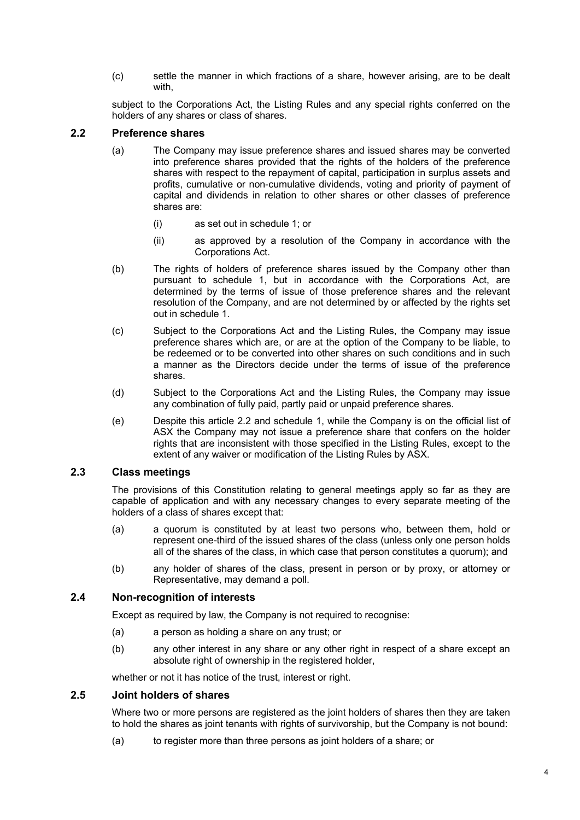(c) settle the manner in which fractions of a share, however arising, are to be dealt with,

subject to the Corporations Act, the Listing Rules and any special rights conferred on the holders of any shares or class of shares.

### **2.2 Preference shares**

- (a) The Company may issue preference shares and issued shares may be converted into preference shares provided that the rights of the holders of the preference shares with respect to the repayment of capital, participation in surplus assets and profits, cumulative or non-cumulative dividends, voting and priority of payment of capital and dividends in relation to other shares or other classes of preference shares are:
	- (i) as set out in schedule 1; or
	- (ii) as approved by a resolution of the Company in accordance with the Corporations Act.
- (b) The rights of holders of preference shares issued by the Company other than pursuant to schedule 1, but in accordance with the Corporations Act, are determined by the terms of issue of those preference shares and the relevant resolution of the Company, and are not determined by or affected by the rights set out in schedule 1.
- (c) Subject to the Corporations Act and the Listing Rules, the Company may issue preference shares which are, or are at the option of the Company to be liable, to be redeemed or to be converted into other shares on such conditions and in such a manner as the Directors decide under the terms of issue of the preference shares.
- (d) Subject to the Corporations Act and the Listing Rules, the Company may issue any combination of fully paid, partly paid or unpaid preference shares.
- (e) Despite this article 2.2 and schedule 1, while the Company is on the official list of ASX the Company may not issue a preference share that confers on the holder rights that are inconsistent with those specified in the Listing Rules, except to the extent of any waiver or modification of the Listing Rules by ASX.

### **2.3 Class meetings**

The provisions of this Constitution relating to general meetings apply so far as they are capable of application and with any necessary changes to every separate meeting of the holders of a class of shares except that:

- (a) a quorum is constituted by at least two persons who, between them, hold or represent one-third of the issued shares of the class (unless only one person holds all of the shares of the class, in which case that person constitutes a quorum); and
- (b) any holder of shares of the class, present in person or by proxy, or attorney or Representative, may demand a poll.

#### **2.4 Non-recognition of interests**

Except as required by law, the Company is not required to recognise:

- (a) a person as holding a share on any trust; or
- (b) any other interest in any share or any other right in respect of a share except an absolute right of ownership in the registered holder,

whether or not it has notice of the trust, interest or right.

### **2.5 Joint holders of shares**

Where two or more persons are registered as the joint holders of shares then they are taken to hold the shares as joint tenants with rights of survivorship, but the Company is not bound:

(a) to register more than three persons as joint holders of a share; or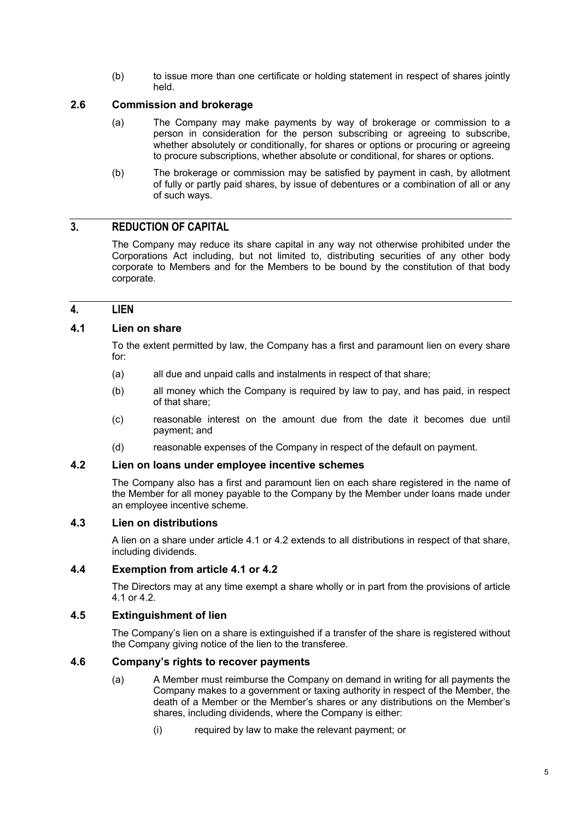(b) to issue more than one certificate or holding statement in respect of shares jointly held.

### **2.6 Commission and brokerage**

- (a) The Company may make payments by way of brokerage or commission to a person in consideration for the person subscribing or agreeing to subscribe, whether absolutely or conditionally, for shares or options or procuring or agreeing to procure subscriptions, whether absolute or conditional, for shares or options.
- (b) The brokerage or commission may be satisfied by payment in cash, by allotment of fully or partly paid shares, by issue of debentures or a combination of all or any of such ways.

### **3. REDUCTION OF CAPITAL**

The Company may reduce its share capital in any way not otherwise prohibited under the Corporations Act including, but not limited to, distributing securities of any other body corporate to Members and for the Members to be bound by the constitution of that body corporate.

### **4. LIEN**

### **4.1 Lien on share**

To the extent permitted by law, the Company has a first and paramount lien on every share for:

- (a) all due and unpaid calls and instalments in respect of that share;
- (b) all money which the Company is required by law to pay, and has paid, in respect of that share;
- (c) reasonable interest on the amount due from the date it becomes due until payment; and
- (d) reasonable expenses of the Company in respect of the default on payment.

### **4.2 Lien on loans under employee incentive schemes**

The Company also has a first and paramount lien on each share registered in the name of the Member for all money payable to the Company by the Member under loans made under an employee incentive scheme.

#### **4.3 Lien on distributions**

A lien on a share under article 4.1 or 4.2 extends to all distributions in respect of that share, including dividends.

#### **4.4 Exemption from article 4.1 or 4.2**

The Directors may at any time exempt a share wholly or in part from the provisions of article 4.1 or 4.2.

#### **4.5 Extinguishment of lien**

The Company's lien on a share is extinguished if a transfer of the share is registered without the Company giving notice of the lien to the transferee.

### **4.6 Company's rights to recover payments**

- (a) A Member must reimburse the Company on demand in writing for all payments the Company makes to a government or taxing authority in respect of the Member, the death of a Member or the Member's shares or any distributions on the Member's shares, including dividends, where the Company is either:
	- (i) required by law to make the relevant payment; or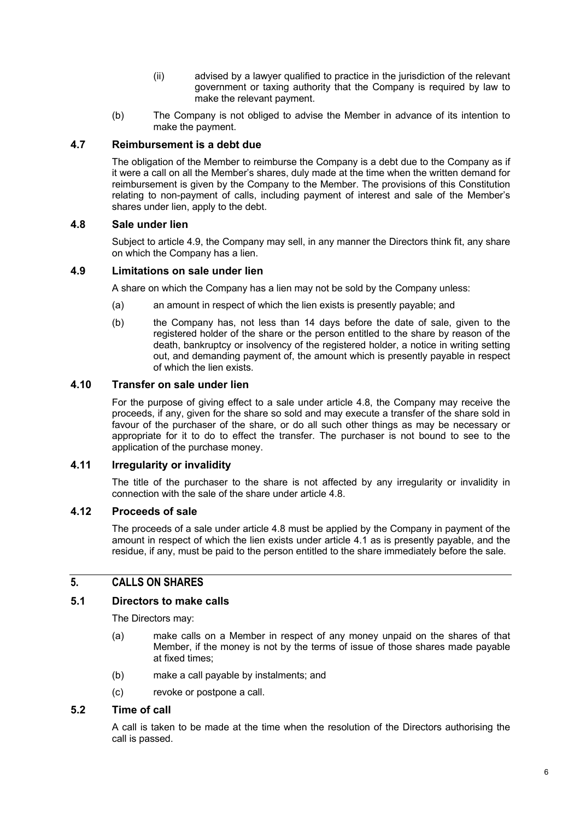- (ii) advised by a lawyer qualified to practice in the jurisdiction of the relevant government or taxing authority that the Company is required by law to make the relevant payment.
- (b) The Company is not obliged to advise the Member in advance of its intention to make the payment.

### **4.7 Reimbursement is a debt due**

The obligation of the Member to reimburse the Company is a debt due to the Company as if it were a call on all the Member's shares, duly made at the time when the written demand for reimbursement is given by the Company to the Member. The provisions of this Constitution relating to non-payment of calls, including payment of interest and sale of the Member's shares under lien, apply to the debt.

#### **4.8 Sale under lien**

Subject to article 4.9, the Company may sell, in any manner the Directors think fit, any share on which the Company has a lien.

#### **4.9 Limitations on sale under lien**

A share on which the Company has a lien may not be sold by the Company unless:

- (a) an amount in respect of which the lien exists is presently payable; and
- (b) the Company has, not less than 14 days before the date of sale, given to the registered holder of the share or the person entitled to the share by reason of the death, bankruptcy or insolvency of the registered holder, a notice in writing setting out, and demanding payment of, the amount which is presently payable in respect of which the lien exists.

### **4.10 Transfer on sale under lien**

For the purpose of giving effect to a sale under article 4.8, the Company may receive the proceeds, if any, given for the share so sold and may execute a transfer of the share sold in favour of the purchaser of the share, or do all such other things as may be necessary or appropriate for it to do to effect the transfer. The purchaser is not bound to see to the application of the purchase money.

### **4.11 Irregularity or invalidity**

The title of the purchaser to the share is not affected by any irregularity or invalidity in connection with the sale of the share under article 4.8.

### **4.12 Proceeds of sale**

The proceeds of a sale under article 4.8 must be applied by the Company in payment of the amount in respect of which the lien exists under article 4.1 as is presently payable, and the residue, if any, must be paid to the person entitled to the share immediately before the sale.

### **5. CALLS ON SHARES**

#### **5.1 Directors to make calls**

The Directors may:

- (a) make calls on a Member in respect of any money unpaid on the shares of that Member, if the money is not by the terms of issue of those shares made payable at fixed times;
- (b) make a call payable by instalments; and
- (c) revoke or postpone a call.

### **5.2 Time of call**

A call is taken to be made at the time when the resolution of the Directors authorising the call is passed.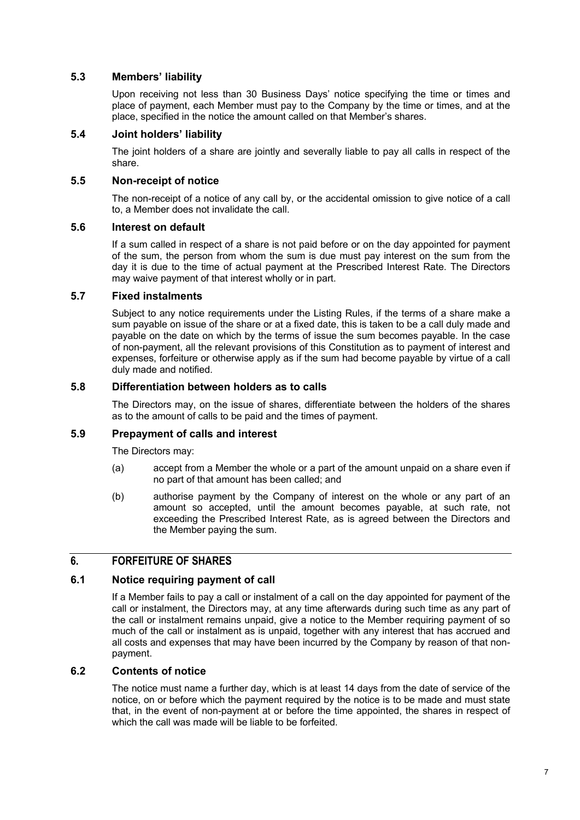### **5.3 Members' liability**

Upon receiving not less than 30 Business Days' notice specifying the time or times and place of payment, each Member must pay to the Company by the time or times, and at the place, specified in the notice the amount called on that Member's shares.

### **5.4 Joint holders' liability**

The joint holders of a share are jointly and severally liable to pay all calls in respect of the share.

### **5.5 Non-receipt of notice**

The non-receipt of a notice of any call by, or the accidental omission to give notice of a call to, a Member does not invalidate the call.

#### **5.6 Interest on default**

If a sum called in respect of a share is not paid before or on the day appointed for payment of the sum, the person from whom the sum is due must pay interest on the sum from the day it is due to the time of actual payment at the Prescribed Interest Rate. The Directors may waive payment of that interest wholly or in part.

### **5.7 Fixed instalments**

Subject to any notice requirements under the Listing Rules, if the terms of a share make a sum payable on issue of the share or at a fixed date, this is taken to be a call duly made and payable on the date on which by the terms of issue the sum becomes payable. In the case of non-payment, all the relevant provisions of this Constitution as to payment of interest and expenses, forfeiture or otherwise apply as if the sum had become payable by virtue of a call duly made and notified.

### **5.8 Differentiation between holders as to calls**

The Directors may, on the issue of shares, differentiate between the holders of the shares as to the amount of calls to be paid and the times of payment.

### **5.9 Prepayment of calls and interest**

The Directors may:

- (a) accept from a Member the whole or a part of the amount unpaid on a share even if no part of that amount has been called; and
- (b) authorise payment by the Company of interest on the whole or any part of an amount so accepted, until the amount becomes payable, at such rate, not exceeding the Prescribed Interest Rate, as is agreed between the Directors and the Member paying the sum.

### **6. FORFEITURE OF SHARES**

#### **6.1 Notice requiring payment of call**

If a Member fails to pay a call or instalment of a call on the day appointed for payment of the call or instalment, the Directors may, at any time afterwards during such time as any part of the call or instalment remains unpaid, give a notice to the Member requiring payment of so much of the call or instalment as is unpaid, together with any interest that has accrued and all costs and expenses that may have been incurred by the Company by reason of that nonpayment.

#### **6.2 Contents of notice**

The notice must name a further day, which is at least 14 days from the date of service of the notice, on or before which the payment required by the notice is to be made and must state that, in the event of non-payment at or before the time appointed, the shares in respect of which the call was made will be liable to be forfeited.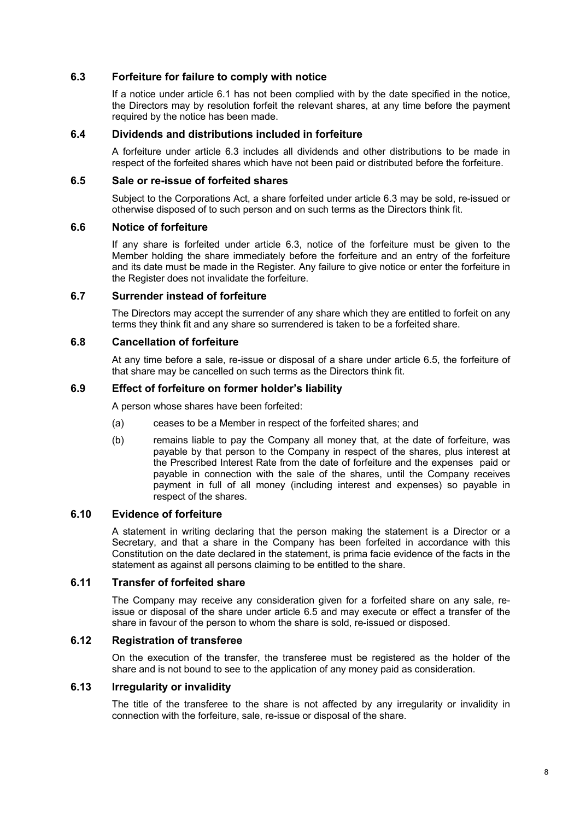### **6.3 Forfeiture for failure to comply with notice**

If a notice under article 6.1 has not been complied with by the date specified in the notice, the Directors may by resolution forfeit the relevant shares, at any time before the payment required by the notice has been made.

#### **6.4 Dividends and distributions included in forfeiture**

A forfeiture under article 6.3 includes all dividends and other distributions to be made in respect of the forfeited shares which have not been paid or distributed before the forfeiture.

#### **6.5 Sale or re-issue of forfeited shares**

Subject to the Corporations Act, a share forfeited under article 6.3 may be sold, re-issued or otherwise disposed of to such person and on such terms as the Directors think fit.

#### **6.6 Notice of forfeiture**

If any share is forfeited under article 6.3, notice of the forfeiture must be given to the Member holding the share immediately before the forfeiture and an entry of the forfeiture and its date must be made in the Register. Any failure to give notice or enter the forfeiture in the Register does not invalidate the forfeiture.

#### **6.7 Surrender instead of forfeiture**

The Directors may accept the surrender of any share which they are entitled to forfeit on any terms they think fit and any share so surrendered is taken to be a forfeited share.

### **6.8 Cancellation of forfeiture**

At any time before a sale, re-issue or disposal of a share under article 6.5, the forfeiture of that share may be cancelled on such terms as the Directors think fit.

### **6.9 Effect of forfeiture on former holder's liability**

A person whose shares have been forfeited:

- (a) ceases to be a Member in respect of the forfeited shares; and
- (b) remains liable to pay the Company all money that, at the date of forfeiture, was payable by that person to the Company in respect of the shares, plus interest at the Prescribed Interest Rate from the date of forfeiture and the expenses paid or payable in connection with the sale of the shares, until the Company receives payment in full of all money (including interest and expenses) so payable in respect of the shares.

#### **6.10 Evidence of forfeiture**

A statement in writing declaring that the person making the statement is a Director or a Secretary, and that a share in the Company has been forfeited in accordance with this Constitution on the date declared in the statement, is prima facie evidence of the facts in the statement as against all persons claiming to be entitled to the share.

#### **6.11 Transfer of forfeited share**

The Company may receive any consideration given for a forfeited share on any sale, reissue or disposal of the share under article 6.5 and may execute or effect a transfer of the share in favour of the person to whom the share is sold, re-issued or disposed.

### **6.12 Registration of transferee**

On the execution of the transfer, the transferee must be registered as the holder of the share and is not bound to see to the application of any money paid as consideration.

### **6.13 Irregularity or invalidity**

The title of the transferee to the share is not affected by any irregularity or invalidity in connection with the forfeiture, sale, re-issue or disposal of the share.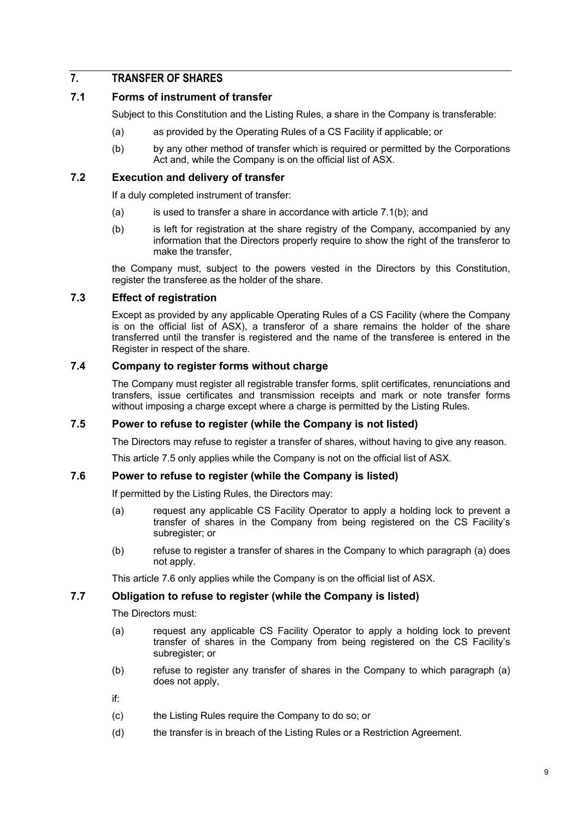### **7. TRANSFER OF SHARES**

### **7.1 Forms of instrument of transfer**

Subject to this Constitution and the Listing Rules, a share in the Company is transferable:

- (a) as provided by the Operating Rules of a CS Facility if applicable; or
- (b) by any other method of transfer which is required or permitted by the Corporations Act and, while the Company is on the official list of ASX.

### **7.2 Execution and delivery of transfer**

If a duly completed instrument of transfer:

- (a) is used to transfer a share in accordance with article  $7.1(b)$ ; and
- (b) is left for registration at the share registry of the Company, accompanied by any information that the Directors properly require to show the right of the transferor to make the transfer,

the Company must, subject to the powers vested in the Directors by this Constitution, register the transferee as the holder of the share.

### **7.3 Effect of registration**

Except as provided by any applicable Operating Rules of a CS Facility (where the Company is on the official list of ASX), a transferor of a share remains the holder of the share transferred until the transfer is registered and the name of the transferee is entered in the Register in respect of the share.

### **7.4 Company to register forms without charge**

The Company must register all registrable transfer forms, split certificates, renunciations and transfers, issue certificates and transmission receipts and mark or note transfer forms without imposing a charge except where a charge is permitted by the Listing Rules.

#### **7.5 Power to refuse to register (while the Company is not listed)**

The Directors may refuse to register a transfer of shares, without having to give any reason.

This article 7.5 only applies while the Company is not on the official list of ASX.

### **7.6 Power to refuse to register (while the Company is listed)**

If permitted by the Listing Rules, the Directors may:

- (a) request any applicable CS Facility Operator to apply a holding lock to prevent a transfer of shares in the Company from being registered on the CS Facility's subregister; or
- (b) refuse to register a transfer of shares in the Company to which paragraph (a) does not apply.

This article 7.6 only applies while the Company is on the official list of ASX.

### **7.7 Obligation to refuse to register (while the Company is listed)**

The Directors must:

- (a) request any applicable CS Facility Operator to apply a holding lock to prevent transfer of shares in the Company from being registered on the CS Facility's subregister; or
- (b) refuse to register any transfer of shares in the Company to which paragraph (a) does not apply,

if:

- (c) the Listing Rules require the Company to do so; or
- (d) the transfer is in breach of the Listing Rules or a Restriction Agreement.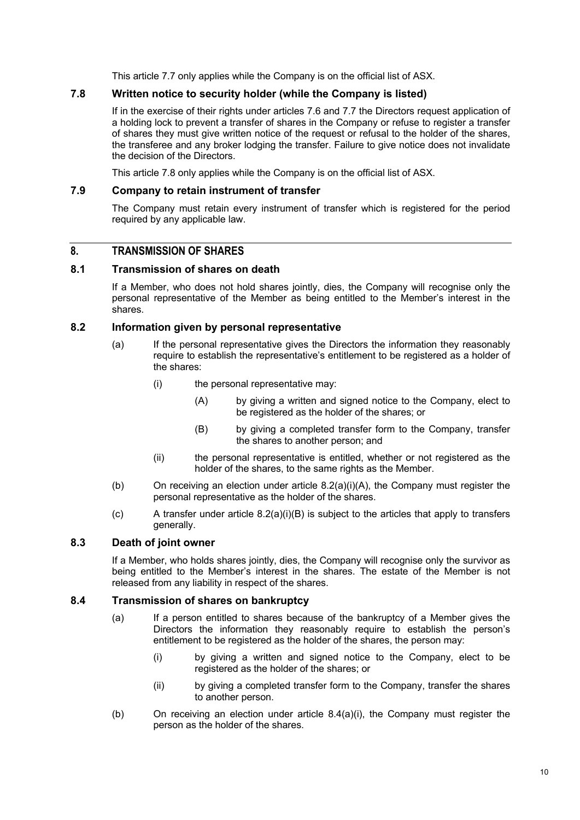This article 7.7 only applies while the Company is on the official list of ASX.

### **7.8 Written notice to security holder (while the Company is listed)**

If in the exercise of their rights under articles 7.6 and 7.7 the Directors request application of a holding lock to prevent a transfer of shares in the Company or refuse to register a transfer of shares they must give written notice of the request or refusal to the holder of the shares, the transferee and any broker lodging the transfer. Failure to give notice does not invalidate the decision of the Directors.

This article 7.8 only applies while the Company is on the official list of ASX.

### **7.9 Company to retain instrument of transfer**

The Company must retain every instrument of transfer which is registered for the period required by any applicable law.

### **8. TRANSMISSION OF SHARES**

#### **8.1 Transmission of shares on death**

If a Member, who does not hold shares jointly, dies, the Company will recognise only the personal representative of the Member as being entitled to the Member's interest in the shares.

### **8.2 Information given by personal representative**

- (a) If the personal representative gives the Directors the information they reasonably require to establish the representative's entitlement to be registered as a holder of the shares:
	- (i) the personal representative may:
		- (A) by giving a written and signed notice to the Company, elect to be registered as the holder of the shares; or
		- (B) by giving a completed transfer form to the Company, transfer the shares to another person; and
	- (ii) the personal representative is entitled, whether or not registered as the holder of the shares, to the same rights as the Member.
- (b) On receiving an election under article 8.2(a)(i)(A), the Company must register the personal representative as the holder of the shares.
- $(c)$  A transfer under article 8.2(a)(i)(B) is subject to the articles that apply to transfers generally.

### **8.3 Death of joint owner**

If a Member, who holds shares jointly, dies, the Company will recognise only the survivor as being entitled to the Member's interest in the shares. The estate of the Member is not released from any liability in respect of the shares.

### **8.4 Transmission of shares on bankruptcy**

- (a) If a person entitled to shares because of the bankruptcy of a Member gives the Directors the information they reasonably require to establish the person's entitlement to be registered as the holder of the shares, the person may:
	- (i) by giving a written and signed notice to the Company, elect to be registered as the holder of the shares; or
	- (ii) by giving a completed transfer form to the Company, transfer the shares to another person.
- (b) On receiving an election under article 8.4(a)(i), the Company must register the person as the holder of the shares.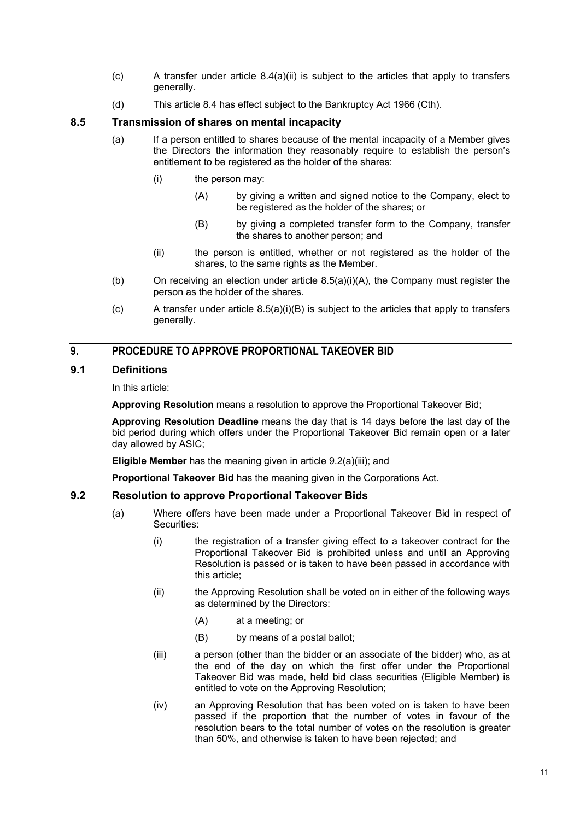- $(c)$  A transfer under article  $8.4(a)(ii)$  is subject to the articles that apply to transfers generally.
- (d) This article 8.4 has effect subject to the Bankruptcy Act 1966 (Cth).

### **8.5 Transmission of shares on mental incapacity**

- (a) If a person entitled to shares because of the mental incapacity of a Member gives the Directors the information they reasonably require to establish the person's entitlement to be registered as the holder of the shares:
	- (i) the person may:
		- (A) by giving a written and signed notice to the Company, elect to be registered as the holder of the shares; or
		- (B) by giving a completed transfer form to the Company, transfer the shares to another person; and
	- (ii) the person is entitled, whether or not registered as the holder of the shares, to the same rights as the Member.
- (b) On receiving an election under article 8.5(a)(i)(A), the Company must register the person as the holder of the shares.
- (c) A transfer under article  $8.5(a)(i)(B)$  is subject to the articles that apply to transfers generally.

### **9. PROCEDURE TO APPROVE PROPORTIONAL TAKEOVER BID**

### **9.1 Definitions**

In this article:

**Approving Resolution** means a resolution to approve the Proportional Takeover Bid;

**Approving Resolution Deadline** means the day that is 14 days before the last day of the bid period during which offers under the Proportional Takeover Bid remain open or a later day allowed by ASIC;

**Eligible Member** has the meaning given in article 9.2(a)(iii); and

**Proportional Takeover Bid** has the meaning given in the Corporations Act.

#### **9.2 Resolution to approve Proportional Takeover Bids**

- (a) Where offers have been made under a Proportional Takeover Bid in respect of Securities:
	- (i) the registration of a transfer giving effect to a takeover contract for the Proportional Takeover Bid is prohibited unless and until an Approving Resolution is passed or is taken to have been passed in accordance with this article;
	- (ii) the Approving Resolution shall be voted on in either of the following ways as determined by the Directors:
		- (A) at a meeting; or
		- (B) by means of a postal ballot;
	- (iii) a person (other than the bidder or an associate of the bidder) who, as at the end of the day on which the first offer under the Proportional Takeover Bid was made, held bid class securities (Eligible Member) is entitled to vote on the Approving Resolution;
	- (iv) an Approving Resolution that has been voted on is taken to have been passed if the proportion that the number of votes in favour of the resolution bears to the total number of votes on the resolution is greater than 50%, and otherwise is taken to have been rejected; and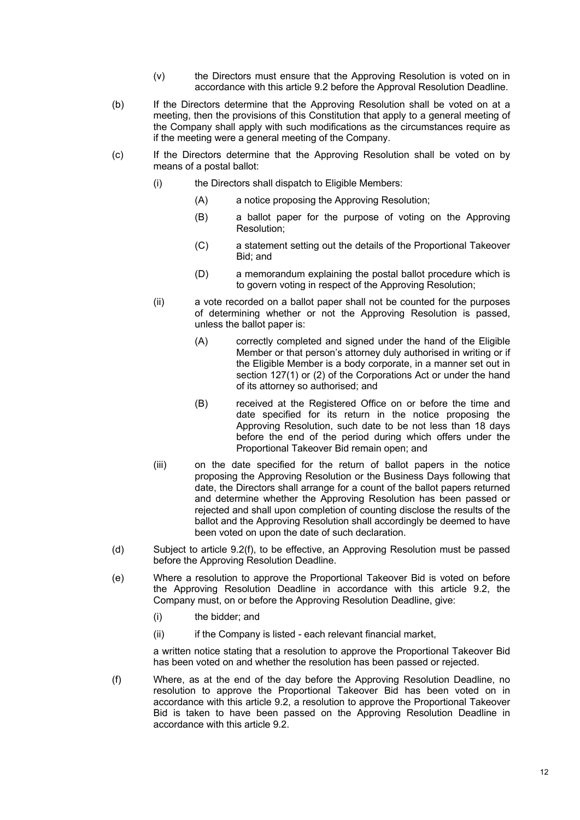- (v) the Directors must ensure that the Approving Resolution is voted on in accordance with this article 9.2 before the Approval Resolution Deadline.
- (b) If the Directors determine that the Approving Resolution shall be voted on at a meeting, then the provisions of this Constitution that apply to a general meeting of the Company shall apply with such modifications as the circumstances require as if the meeting were a general meeting of the Company.
- (c) If the Directors determine that the Approving Resolution shall be voted on by means of a postal ballot:
	- (i) the Directors shall dispatch to Eligible Members:
		- (A) a notice proposing the Approving Resolution;
		- (B) a ballot paper for the purpose of voting on the Approving Resolution;
		- (C) a statement setting out the details of the Proportional Takeover Bid; and
		- (D) a memorandum explaining the postal ballot procedure which is to govern voting in respect of the Approving Resolution;
	- (ii) a vote recorded on a ballot paper shall not be counted for the purposes of determining whether or not the Approving Resolution is passed, unless the ballot paper is:
		- (A) correctly completed and signed under the hand of the Eligible Member or that person's attorney duly authorised in writing or if the Eligible Member is a body corporate, in a manner set out in section 127(1) or (2) of the Corporations Act or under the hand of its attorney so authorised; and
		- (B) received at the Registered Office on or before the time and date specified for its return in the notice proposing the Approving Resolution, such date to be not less than 18 days before the end of the period during which offers under the Proportional Takeover Bid remain open; and
	- (iii) on the date specified for the return of ballot papers in the notice proposing the Approving Resolution or the Business Days following that date, the Directors shall arrange for a count of the ballot papers returned and determine whether the Approving Resolution has been passed or rejected and shall upon completion of counting disclose the results of the ballot and the Approving Resolution shall accordingly be deemed to have been voted on upon the date of such declaration.
- (d) Subject to article 9.2(f), to be effective, an Approving Resolution must be passed before the Approving Resolution Deadline.
- (e) Where a resolution to approve the Proportional Takeover Bid is voted on before the Approving Resolution Deadline in accordance with this article 9.2, the Company must, on or before the Approving Resolution Deadline, give:
	- (i) the bidder; and
	- (ii) if the Company is listed each relevant financial market,

a written notice stating that a resolution to approve the Proportional Takeover Bid has been voted on and whether the resolution has been passed or rejected.

(f) Where, as at the end of the day before the Approving Resolution Deadline, no resolution to approve the Proportional Takeover Bid has been voted on in accordance with this article 9.2, a resolution to approve the Proportional Takeover Bid is taken to have been passed on the Approving Resolution Deadline in accordance with this article 9.2.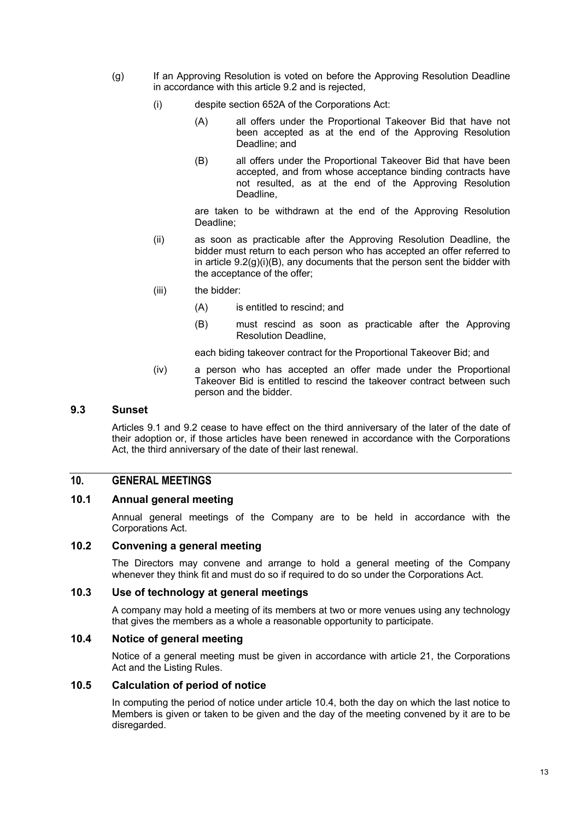- (g) If an Approving Resolution is voted on before the Approving Resolution Deadline in accordance with this article 9.2 and is rejected,
	- (i) despite section 652A of the Corporations Act:
		- (A) all offers under the Proportional Takeover Bid that have not been accepted as at the end of the Approving Resolution Deadline; and
		- (B) all offers under the Proportional Takeover Bid that have been accepted, and from whose acceptance binding contracts have not resulted, as at the end of the Approving Resolution Deadline,

are taken to be withdrawn at the end of the Approving Resolution Deadline;

- (ii) as soon as practicable after the Approving Resolution Deadline, the bidder must return to each person who has accepted an offer referred to in article  $9.2(q)(i)(B)$ , any documents that the person sent the bidder with the acceptance of the offer;
- (iii) the bidder:
	- (A) is entitled to rescind; and
	- (B) must rescind as soon as practicable after the Approving Resolution Deadline,

each biding takeover contract for the Proportional Takeover Bid; and

(iv) a person who has accepted an offer made under the Proportional Takeover Bid is entitled to rescind the takeover contract between such person and the bidder.

#### **9.3 Sunset**

Articles 9.1 and 9.2 cease to have effect on the third anniversary of the later of the date of their adoption or, if those articles have been renewed in accordance with the Corporations Act, the third anniversary of the date of their last renewal.

### **10. GENERAL MEETINGS**

### **10.1 Annual general meeting**

Annual general meetings of the Company are to be held in accordance with the Corporations Act.

#### **10.2 Convening a general meeting**

The Directors may convene and arrange to hold a general meeting of the Company whenever they think fit and must do so if required to do so under the Corporations Act.

### **10.3 Use of technology at general meetings**

A company may hold a meeting of its members at two or more venues using any technology that gives the members as a whole a reasonable opportunity to participate.

### **10.4 Notice of general meeting**

Notice of a general meeting must be given in accordance with article 21, the Corporations Act and the Listing Rules.

#### **10.5 Calculation of period of notice**

In computing the period of notice under article 10.4, both the day on which the last notice to Members is given or taken to be given and the day of the meeting convened by it are to be disregarded.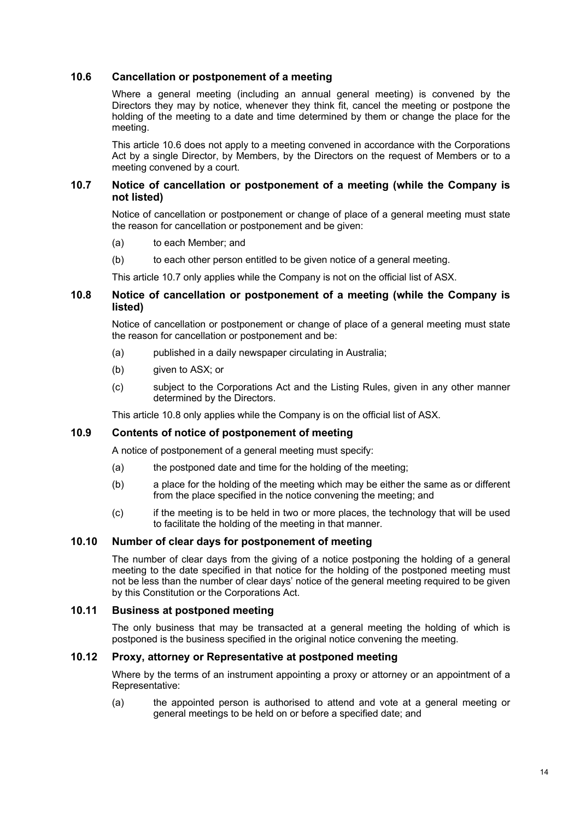### **10.6 Cancellation or postponement of a meeting**

Where a general meeting (including an annual general meeting) is convened by the Directors they may by notice, whenever they think fit, cancel the meeting or postpone the holding of the meeting to a date and time determined by them or change the place for the meeting.

This article 10.6 does not apply to a meeting convened in accordance with the Corporations Act by a single Director, by Members, by the Directors on the request of Members or to a meeting convened by a court.

### **10.7 Notice of cancellation or postponement of a meeting (while the Company is not listed)**

Notice of cancellation or postponement or change of place of a general meeting must state the reason for cancellation or postponement and be given:

- (a) to each Member; and
- (b) to each other person entitled to be given notice of a general meeting.

This article 10.7 only applies while the Company is not on the official list of ASX.

### **10.8 Notice of cancellation or postponement of a meeting (while the Company is listed)**

Notice of cancellation or postponement or change of place of a general meeting must state the reason for cancellation or postponement and be:

- (a) published in a daily newspaper circulating in Australia;
- (b) given to ASX; or
- (c) subject to the Corporations Act and the Listing Rules, given in any other manner determined by the Directors.

This article 10.8 only applies while the Company is on the official list of ASX.

### **10.9 Contents of notice of postponement of meeting**

A notice of postponement of a general meeting must specify:

- (a) the postponed date and time for the holding of the meeting;
- (b) a place for the holding of the meeting which may be either the same as or different from the place specified in the notice convening the meeting; and
- (c) if the meeting is to be held in two or more places, the technology that will be used to facilitate the holding of the meeting in that manner.

### **10.10 Number of clear days for postponement of meeting**

The number of clear days from the giving of a notice postponing the holding of a general meeting to the date specified in that notice for the holding of the postponed meeting must not be less than the number of clear days' notice of the general meeting required to be given by this Constitution or the Corporations Act.

#### **10.11 Business at postponed meeting**

The only business that may be transacted at a general meeting the holding of which is postponed is the business specified in the original notice convening the meeting.

### **10.12 Proxy, attorney or Representative at postponed meeting**

Where by the terms of an instrument appointing a proxy or attorney or an appointment of a Representative:

(a) the appointed person is authorised to attend and vote at a general meeting or general meetings to be held on or before a specified date; and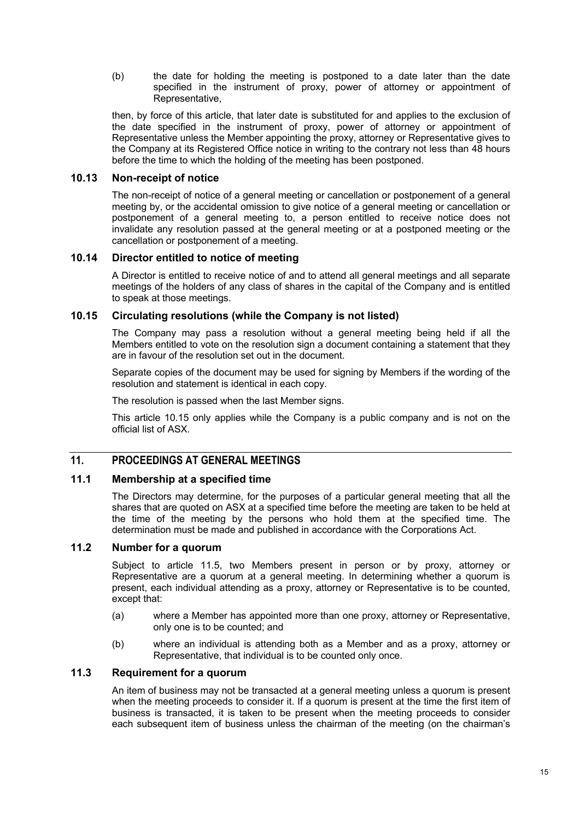(b) the date for holding the meeting is postponed to a date later than the date specified in the instrument of proxy, power of attorney or appointment of Representative,

then, by force of this article, that later date is substituted for and applies to the exclusion of the date specified in the instrument of proxy, power of attorney or appointment of Representative unless the Member appointing the proxy, attorney or Representative gives to the Company at its Registered Office notice in writing to the contrary not less than 48 hours before the time to which the holding of the meeting has been postponed.

### **10.13 Non-receipt of notice**

The non-receipt of notice of a general meeting or cancellation or postponement of a general meeting by, or the accidental omission to give notice of a general meeting or cancellation or postponement of a general meeting to, a person entitled to receive notice does not invalidate any resolution passed at the general meeting or at a postponed meeting or the cancellation or postponement of a meeting.

#### **10.14 Director entitled to notice of meeting**

A Director is entitled to receive notice of and to attend all general meetings and all separate meetings of the holders of any class of shares in the capital of the Company and is entitled to speak at those meetings.

### **10.15 Circulating resolutions (while the Company is not listed)**

The Company may pass a resolution without a general meeting being held if all the Members entitled to vote on the resolution sign a document containing a statement that they are in favour of the resolution set out in the document.

Separate copies of the document may be used for signing by Members if the wording of the resolution and statement is identical in each copy.

The resolution is passed when the last Member signs.

This article 10.15 only applies while the Company is a public company and is not on the official list of ASX.

### **11. PROCEEDINGS AT GENERAL MEETINGS**

#### **11.1 Membership at a specified time**

The Directors may determine, for the purposes of a particular general meeting that all the shares that are quoted on ASX at a specified time before the meeting are taken to be held at the time of the meeting by the persons who hold them at the specified time. The determination must be made and published in accordance with the Corporations Act.

#### **11.2 Number for a quorum**

Subject to article 11.5, two Members present in person or by proxy, attorney or Representative are a quorum at a general meeting. In determining whether a quorum is present, each individual attending as a proxy, attorney or Representative is to be counted, except that:

- (a) where a Member has appointed more than one proxy, attorney or Representative, only one is to be counted; and
- (b) where an individual is attending both as a Member and as a proxy, attorney or Representative, that individual is to be counted only once.

#### **11.3 Requirement for a quorum**

An item of business may not be transacted at a general meeting unless a quorum is present when the meeting proceeds to consider it. If a quorum is present at the time the first item of business is transacted, it is taken to be present when the meeting proceeds to consider each subsequent item of business unless the chairman of the meeting (on the chairman's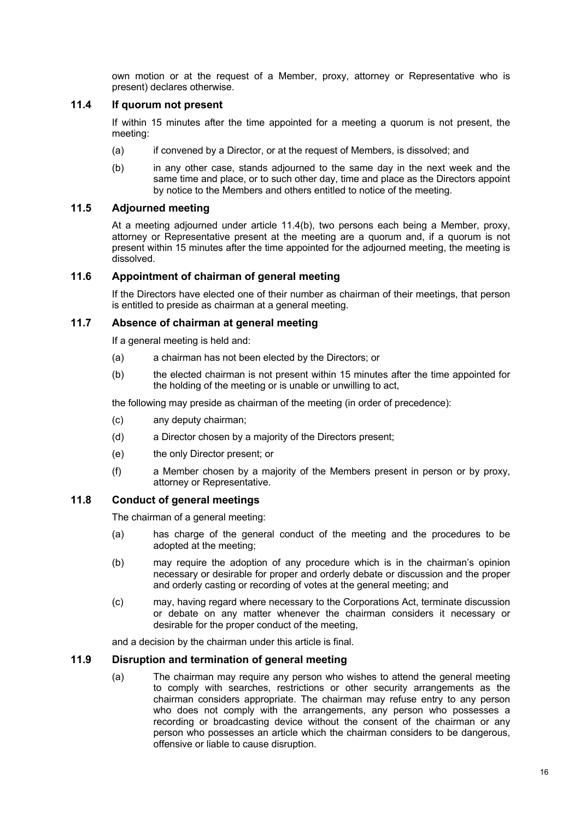own motion or at the request of a Member, proxy, attorney or Representative who is present) declares otherwise.

### **11.4 If quorum not present**

If within 15 minutes after the time appointed for a meeting a quorum is not present, the meeting:

- (a) if convened by a Director, or at the request of Members, is dissolved; and
- (b) in any other case, stands adjourned to the same day in the next week and the same time and place, or to such other day, time and place as the Directors appoint by notice to the Members and others entitled to notice of the meeting.

### **11.5 Adjourned meeting**

At a meeting adjourned under article 11.4(b), two persons each being a Member, proxy, attorney or Representative present at the meeting are a quorum and, if a quorum is not present within 15 minutes after the time appointed for the adjourned meeting, the meeting is dissolved.

### **11.6 Appointment of chairman of general meeting**

If the Directors have elected one of their number as chairman of their meetings, that person is entitled to preside as chairman at a general meeting.

### **11.7 Absence of chairman at general meeting**

If a general meeting is held and:

- (a) a chairman has not been elected by the Directors; or
- (b) the elected chairman is not present within 15 minutes after the time appointed for the holding of the meeting or is unable or unwilling to act,

the following may preside as chairman of the meeting (in order of precedence):

- (c) any deputy chairman;
- (d) a Director chosen by a majority of the Directors present;
- (e) the only Director present; or
- (f) a Member chosen by a majority of the Members present in person or by proxy, attorney or Representative.

### **11.8 Conduct of general meetings**

The chairman of a general meeting:

- (a) has charge of the general conduct of the meeting and the procedures to be adopted at the meeting;
- (b) may require the adoption of any procedure which is in the chairman's opinion necessary or desirable for proper and orderly debate or discussion and the proper and orderly casting or recording of votes at the general meeting; and
- (c) may, having regard where necessary to the Corporations Act, terminate discussion or debate on any matter whenever the chairman considers it necessary or desirable for the proper conduct of the meeting,

and a decision by the chairman under this article is final.

#### **11.9 Disruption and termination of general meeting**

(a) The chairman may require any person who wishes to attend the general meeting to comply with searches, restrictions or other security arrangements as the chairman considers appropriate. The chairman may refuse entry to any person who does not comply with the arrangements, any person who possesses a recording or broadcasting device without the consent of the chairman or any person who possesses an article which the chairman considers to be dangerous, offensive or liable to cause disruption.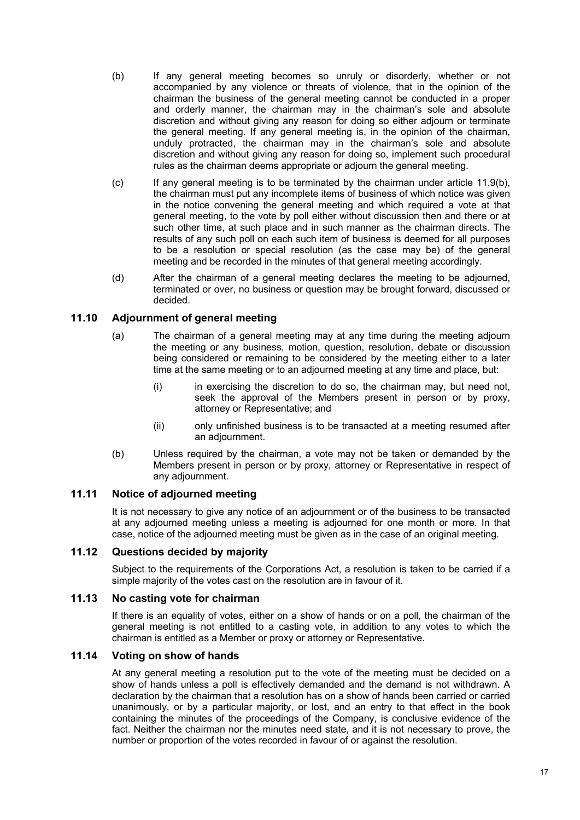- (b) If any general meeting becomes so unruly or disorderly, whether or not accompanied by any violence or threats of violence, that in the opinion of the chairman the business of the general meeting cannot be conducted in a proper and orderly manner, the chairman may in the chairman's sole and absolute discretion and without giving any reason for doing so either adjourn or terminate the general meeting. If any general meeting is, in the opinion of the chairman, unduly protracted, the chairman may in the chairman's sole and absolute discretion and without giving any reason for doing so, implement such procedural rules as the chairman deems appropriate or adjourn the general meeting.
- (c) If any general meeting is to be terminated by the chairman under article 11.9(b), the chairman must put any incomplete items of business of which notice was given in the notice convening the general meeting and which required a vote at that general meeting, to the vote by poll either without discussion then and there or at such other time, at such place and in such manner as the chairman directs. The results of any such poll on each such item of business is deemed for all purposes to be a resolution or special resolution (as the case may be) of the general meeting and be recorded in the minutes of that general meeting accordingly.
- (d) After the chairman of a general meeting declares the meeting to be adjourned, terminated or over, no business or question may be brought forward, discussed or decided.

### **11.10 Adjournment of general meeting**

- (a) The chairman of a general meeting may at any time during the meeting adjourn the meeting or any business, motion, question, resolution, debate or discussion being considered or remaining to be considered by the meeting either to a later time at the same meeting or to an adjourned meeting at any time and place, but:
	- (i) in exercising the discretion to do so, the chairman may, but need not, seek the approval of the Members present in person or by proxy, attorney or Representative; and
	- (ii) only unfinished business is to be transacted at a meeting resumed after an adjournment.
- (b) Unless required by the chairman, a vote may not be taken or demanded by the Members present in person or by proxy, attorney or Representative in respect of any adjournment.

#### **11.11 Notice of adjourned meeting**

It is not necessary to give any notice of an adjournment or of the business to be transacted at any adjourned meeting unless a meeting is adjourned for one month or more. In that case, notice of the adjourned meeting must be given as in the case of an original meeting.

### **11.12 Questions decided by majority**

Subject to the requirements of the Corporations Act, a resolution is taken to be carried if a simple majority of the votes cast on the resolution are in favour of it.

#### **11.13 No casting vote for chairman**

If there is an equality of votes, either on a show of hands or on a poll, the chairman of the general meeting is not entitled to a casting vote, in addition to any votes to which the chairman is entitled as a Member or proxy or attorney or Representative.

### **11.14 Voting on show of hands**

At any general meeting a resolution put to the vote of the meeting must be decided on a show of hands unless a poll is effectively demanded and the demand is not withdrawn. A declaration by the chairman that a resolution has on a show of hands been carried or carried unanimously, or by a particular majority, or lost, and an entry to that effect in the book containing the minutes of the proceedings of the Company, is conclusive evidence of the fact. Neither the chairman nor the minutes need state, and it is not necessary to prove, the number or proportion of the votes recorded in favour of or against the resolution.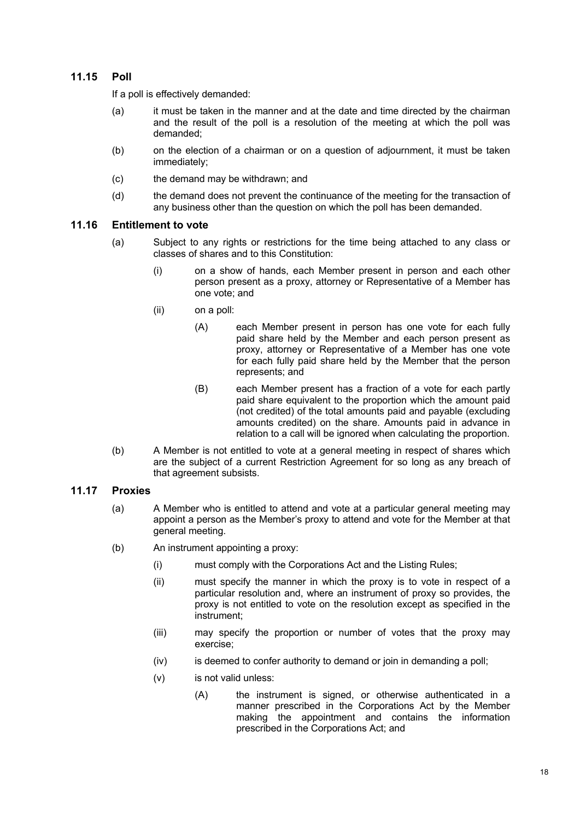### **11.15 Poll**

If a poll is effectively demanded:

- (a) it must be taken in the manner and at the date and time directed by the chairman and the result of the poll is a resolution of the meeting at which the poll was demanded;
- (b) on the election of a chairman or on a question of adjournment, it must be taken immediately;
- (c) the demand may be withdrawn; and
- (d) the demand does not prevent the continuance of the meeting for the transaction of any business other than the question on which the poll has been demanded.

#### **11.16 Entitlement to vote**

- (a) Subject to any rights or restrictions for the time being attached to any class or classes of shares and to this Constitution:
	- (i) on a show of hands, each Member present in person and each other person present as a proxy, attorney or Representative of a Member has one vote; and
	- (ii) on a poll:
		- (A) each Member present in person has one vote for each fully paid share held by the Member and each person present as proxy, attorney or Representative of a Member has one vote for each fully paid share held by the Member that the person represents; and
		- (B) each Member present has a fraction of a vote for each partly paid share equivalent to the proportion which the amount paid (not credited) of the total amounts paid and payable (excluding amounts credited) on the share. Amounts paid in advance in relation to a call will be ignored when calculating the proportion.
- (b) A Member is not entitled to vote at a general meeting in respect of shares which are the subject of a current Restriction Agreement for so long as any breach of that agreement subsists.

### **11.17 Proxies**

- (a) A Member who is entitled to attend and vote at a particular general meeting may appoint a person as the Member's proxy to attend and vote for the Member at that general meeting.
- (b) An instrument appointing a proxy:
	- (i) must comply with the Corporations Act and the Listing Rules;
	- (ii) must specify the manner in which the proxy is to vote in respect of a particular resolution and, where an instrument of proxy so provides, the proxy is not entitled to vote on the resolution except as specified in the instrument;
	- (iii) may specify the proportion or number of votes that the proxy may exercise;
	- (iv) is deemed to confer authority to demand or join in demanding a poll;
	- (v) is not valid unless:
		- (A) the instrument is signed, or otherwise authenticated in a manner prescribed in the Corporations Act by the Member making the appointment and contains the information prescribed in the Corporations Act; and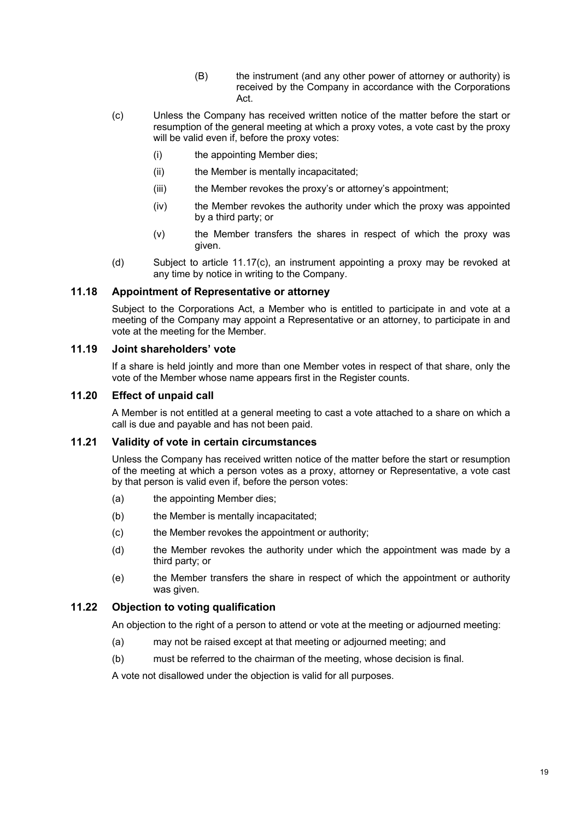- (B) the instrument (and any other power of attorney or authority) is received by the Company in accordance with the Corporations Act.
- (c) Unless the Company has received written notice of the matter before the start or resumption of the general meeting at which a proxy votes, a vote cast by the proxy will be valid even if, before the proxy votes:
	- (i) the appointing Member dies;
	- (ii) the Member is mentally incapacitated;
	- (iii) the Member revokes the proxy's or attorney's appointment;
	- (iv) the Member revokes the authority under which the proxy was appointed by a third party; or
	- (v) the Member transfers the shares in respect of which the proxy was given.
- (d) Subject to article 11.17(c), an instrument appointing a proxy may be revoked at any time by notice in writing to the Company.

### **11.18 Appointment of Representative or attorney**

Subject to the Corporations Act, a Member who is entitled to participate in and vote at a meeting of the Company may appoint a Representative or an attorney, to participate in and vote at the meeting for the Member.

### **11.19 Joint shareholders' vote**

If a share is held jointly and more than one Member votes in respect of that share, only the vote of the Member whose name appears first in the Register counts.

### **11.20 Effect of unpaid call**

A Member is not entitled at a general meeting to cast a vote attached to a share on which a call is due and payable and has not been paid.

### **11.21 Validity of vote in certain circumstances**

Unless the Company has received written notice of the matter before the start or resumption of the meeting at which a person votes as a proxy, attorney or Representative, a vote cast by that person is valid even if, before the person votes:

- (a) the appointing Member dies;
- (b) the Member is mentally incapacitated;
- (c) the Member revokes the appointment or authority;
- (d) the Member revokes the authority under which the appointment was made by a third party; or
- (e) the Member transfers the share in respect of which the appointment or authority was given.

### **11.22 Objection to voting qualification**

An objection to the right of a person to attend or vote at the meeting or adjourned meeting:

- (a) may not be raised except at that meeting or adjourned meeting; and
- (b) must be referred to the chairman of the meeting, whose decision is final.

A vote not disallowed under the objection is valid for all purposes.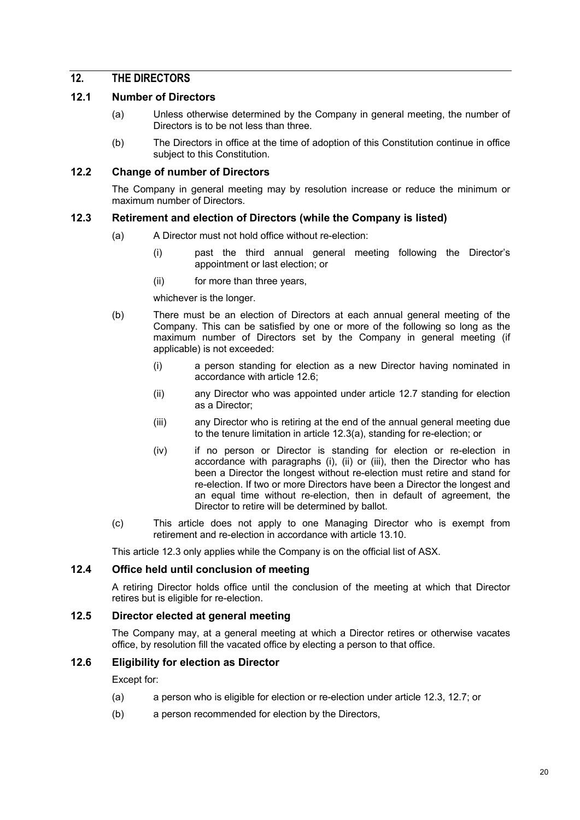### **12. THE DIRECTORS**

### **12.1 Number of Directors**

- (a) Unless otherwise determined by the Company in general meeting, the number of Directors is to be not less than three.
- (b) The Directors in office at the time of adoption of this Constitution continue in office subject to this Constitution.

#### **12.2 Change of number of Directors**

The Company in general meeting may by resolution increase or reduce the minimum or maximum number of Directors.

### **12.3 Retirement and election of Directors (while the Company is listed)**

- (a) A Director must not hold office without re-election:
	- (i) past the third annual general meeting following the Director's appointment or last election; or
	- (ii) for more than three years,

whichever is the longer.

- (b) There must be an election of Directors at each annual general meeting of the Company. This can be satisfied by one or more of the following so long as the maximum number of Directors set by the Company in general meeting (if applicable) is not exceeded:
	- (i) a person standing for election as a new Director having nominated in accordance with article 12.6;
	- (ii) any Director who was appointed under article 12.7 standing for election as a Director;
	- (iii) any Director who is retiring at the end of the annual general meeting due to the tenure limitation in article 12.3(a), standing for re-election; or
	- (iv) if no person or Director is standing for election or re-election in accordance with paragraphs (i), (ii) or (iii), then the Director who has been a Director the longest without re-election must retire and stand for re-election. If two or more Directors have been a Director the longest and an equal time without re-election, then in default of agreement, the Director to retire will be determined by ballot.
- (c) This article does not apply to one Managing Director who is exempt from retirement and re-election in accordance with article 13.10.

This article 12.3 only applies while the Company is on the official list of ASX.

### **12.4 Office held until conclusion of meeting**

A retiring Director holds office until the conclusion of the meeting at which that Director retires but is eligible for re-election.

### **12.5 Director elected at general meeting**

The Company may, at a general meeting at which a Director retires or otherwise vacates office, by resolution fill the vacated office by electing a person to that office.

### **12.6 Eligibility for election as Director**

Except for:

- (a) a person who is eligible for election or re-election under article 12.3, 12.7; or
- (b) a person recommended for election by the Directors,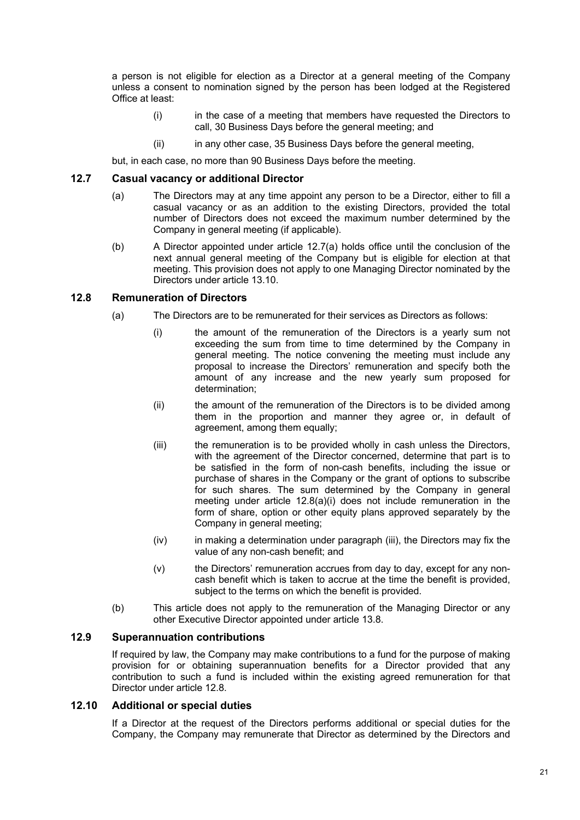a person is not eligible for election as a Director at a general meeting of the Company unless a consent to nomination signed by the person has been lodged at the Registered Office at least:

- (i) in the case of a meeting that members have requested the Directors to call, 30 Business Days before the general meeting; and
- (ii) in any other case, 35 Business Days before the general meeting,

but, in each case, no more than 90 Business Days before the meeting.

#### **12.7 Casual vacancy or additional Director**

- (a) The Directors may at any time appoint any person to be a Director, either to fill a casual vacancy or as an addition to the existing Directors, provided the total number of Directors does not exceed the maximum number determined by the Company in general meeting (if applicable).
- (b) A Director appointed under article 12.7(a) holds office until the conclusion of the next annual general meeting of the Company but is eligible for election at that meeting. This provision does not apply to one Managing Director nominated by the Directors under article 13.10.

#### **12.8 Remuneration of Directors**

- (a) The Directors are to be remunerated for their services as Directors as follows:
	- (i) the amount of the remuneration of the Directors is a yearly sum not exceeding the sum from time to time determined by the Company in general meeting. The notice convening the meeting must include any proposal to increase the Directors' remuneration and specify both the amount of any increase and the new yearly sum proposed for determination;
	- (ii) the amount of the remuneration of the Directors is to be divided among them in the proportion and manner they agree or, in default of agreement, among them equally;
	- (iii) the remuneration is to be provided wholly in cash unless the Directors, with the agreement of the Director concerned, determine that part is to be satisfied in the form of non-cash benefits, including the issue or purchase of shares in the Company or the grant of options to subscribe for such shares. The sum determined by the Company in general meeting under article 12.8(a)(i) does not include remuneration in the form of share, option or other equity plans approved separately by the Company in general meeting;
	- (iv) in making a determination under paragraph (iii), the Directors may fix the value of any non-cash benefit; and
	- (v) the Directors' remuneration accrues from day to day, except for any noncash benefit which is taken to accrue at the time the benefit is provided, subject to the terms on which the benefit is provided.
- (b) This article does not apply to the remuneration of the Managing Director or any other Executive Director appointed under article 13.8.

#### **12.9 Superannuation contributions**

If required by law, the Company may make contributions to a fund for the purpose of making provision for or obtaining superannuation benefits for a Director provided that any contribution to such a fund is included within the existing agreed remuneration for that Director under article 12.8.

#### **12.10 Additional or special duties**

If a Director at the request of the Directors performs additional or special duties for the Company, the Company may remunerate that Director as determined by the Directors and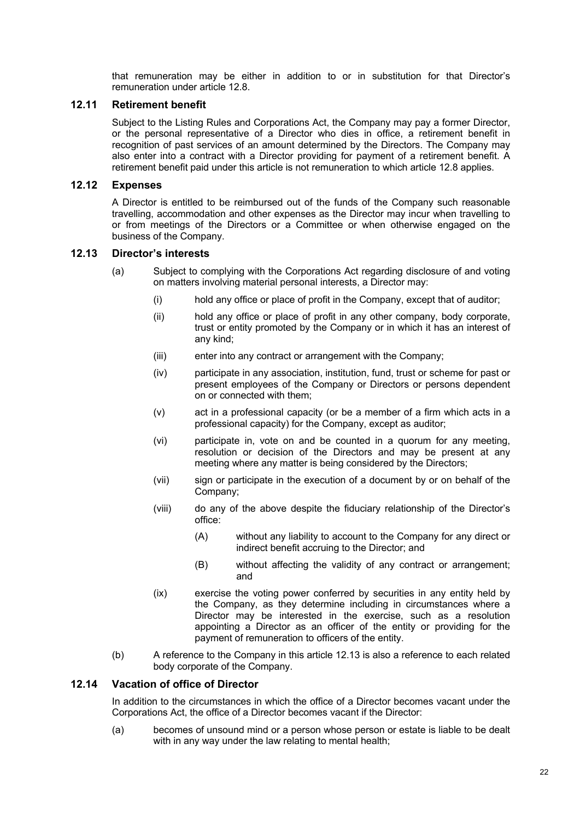that remuneration may be either in addition to or in substitution for that Director's remuneration under article 12.8.

### **12.11 Retirement benefit**

Subject to the Listing Rules and Corporations Act, the Company may pay a former Director, or the personal representative of a Director who dies in office, a retirement benefit in recognition of past services of an amount determined by the Directors. The Company may also enter into a contract with a Director providing for payment of a retirement benefit. A retirement benefit paid under this article is not remuneration to which article 12.8 applies.

### **12.12 Expenses**

A Director is entitled to be reimbursed out of the funds of the Company such reasonable travelling, accommodation and other expenses as the Director may incur when travelling to or from meetings of the Directors or a Committee or when otherwise engaged on the business of the Company.

### **12.13 Director's interests**

- (a) Subject to complying with the Corporations Act regarding disclosure of and voting on matters involving material personal interests, a Director may:
	- (i) hold any office or place of profit in the Company, except that of auditor;
	- (ii) hold any office or place of profit in any other company, body corporate, trust or entity promoted by the Company or in which it has an interest of any kind;
	- (iii) enter into any contract or arrangement with the Company;
	- (iv) participate in any association, institution, fund, trust or scheme for past or present employees of the Company or Directors or persons dependent on or connected with them;
	- (v) act in a professional capacity (or be a member of a firm which acts in a professional capacity) for the Company, except as auditor;
	- (vi) participate in, vote on and be counted in a quorum for any meeting, resolution or decision of the Directors and may be present at any meeting where any matter is being considered by the Directors;
	- (vii) sign or participate in the execution of a document by or on behalf of the Company;
	- (viii) do any of the above despite the fiduciary relationship of the Director's office:
		- (A) without any liability to account to the Company for any direct or indirect benefit accruing to the Director; and
		- (B) without affecting the validity of any contract or arrangement; and
	- (ix) exercise the voting power conferred by securities in any entity held by the Company, as they determine including in circumstances where a Director may be interested in the exercise, such as a resolution appointing a Director as an officer of the entity or providing for the payment of remuneration to officers of the entity.
- (b) A reference to the Company in this article 12.13 is also a reference to each related body corporate of the Company.

### **12.14 Vacation of office of Director**

In addition to the circumstances in which the office of a Director becomes vacant under the Corporations Act, the office of a Director becomes vacant if the Director:

(a) becomes of unsound mind or a person whose person or estate is liable to be dealt with in any way under the law relating to mental health: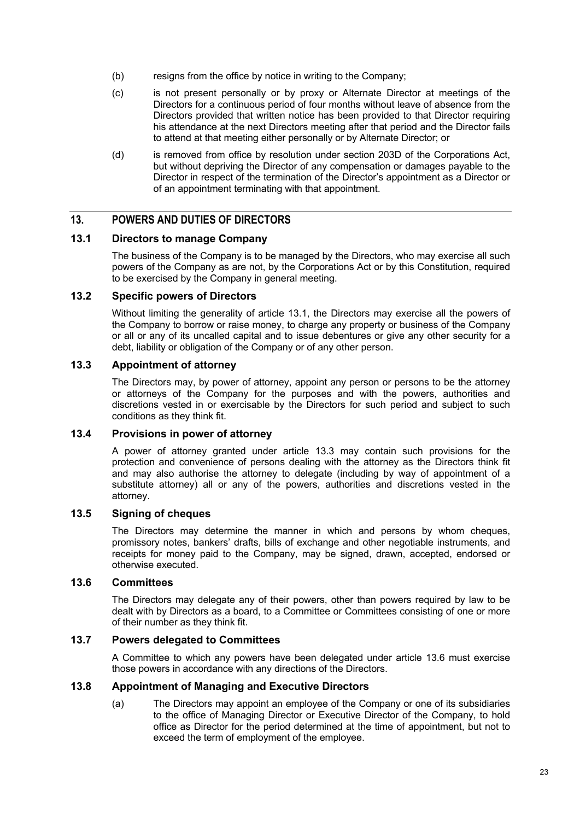- (b) resigns from the office by notice in writing to the Company;
- (c) is not present personally or by proxy or Alternate Director at meetings of the Directors for a continuous period of four months without leave of absence from the Directors provided that written notice has been provided to that Director requiring his attendance at the next Directors meeting after that period and the Director fails to attend at that meeting either personally or by Alternate Director; or
- (d) is removed from office by resolution under section 203D of the Corporations Act, but without depriving the Director of any compensation or damages payable to the Director in respect of the termination of the Director's appointment as a Director or of an appointment terminating with that appointment.

### **13. POWERS AND DUTIES OF DIRECTORS**

#### **13.1 Directors to manage Company**

The business of the Company is to be managed by the Directors, who may exercise all such powers of the Company as are not, by the Corporations Act or by this Constitution, required to be exercised by the Company in general meeting.

#### **13.2 Specific powers of Directors**

Without limiting the generality of article 13.1, the Directors may exercise all the powers of the Company to borrow or raise money, to charge any property or business of the Company or all or any of its uncalled capital and to issue debentures or give any other security for a debt, liability or obligation of the Company or of any other person.

#### **13.3 Appointment of attorney**

The Directors may, by power of attorney, appoint any person or persons to be the attorney or attorneys of the Company for the purposes and with the powers, authorities and discretions vested in or exercisable by the Directors for such period and subject to such conditions as they think fit.

### **13.4 Provisions in power of attorney**

A power of attorney granted under article 13.3 may contain such provisions for the protection and convenience of persons dealing with the attorney as the Directors think fit and may also authorise the attorney to delegate (including by way of appointment of a substitute attorney) all or any of the powers, authorities and discretions vested in the attorney.

#### **13.5 Signing of cheques**

The Directors may determine the manner in which and persons by whom cheques, promissory notes, bankers' drafts, bills of exchange and other negotiable instruments, and receipts for money paid to the Company, may be signed, drawn, accepted, endorsed or otherwise executed.

#### **13.6 Committees**

The Directors may delegate any of their powers, other than powers required by law to be dealt with by Directors as a board, to a Committee or Committees consisting of one or more of their number as they think fit.

#### **13.7 Powers delegated to Committees**

A Committee to which any powers have been delegated under article 13.6 must exercise those powers in accordance with any directions of the Directors.

#### **13.8 Appointment of Managing and Executive Directors**

(a) The Directors may appoint an employee of the Company or one of its subsidiaries to the office of Managing Director or Executive Director of the Company, to hold office as Director for the period determined at the time of appointment, but not to exceed the term of employment of the employee.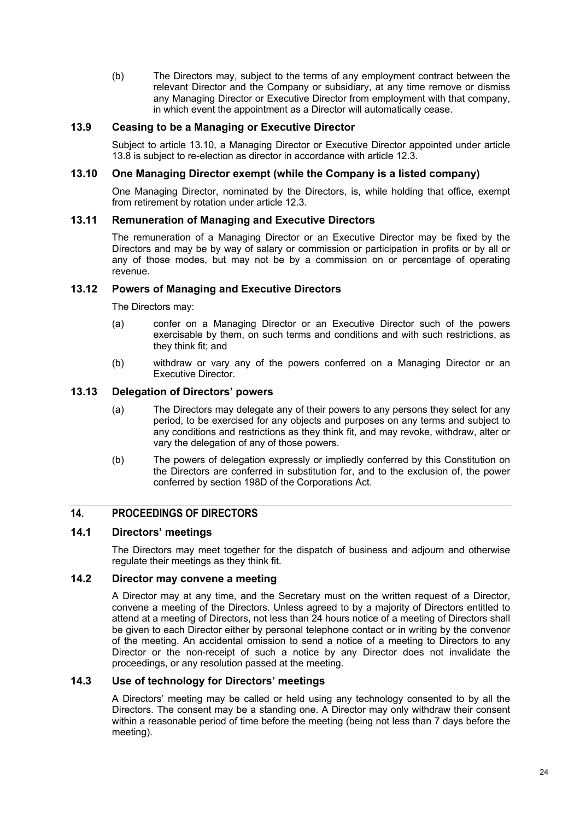(b) The Directors may, subject to the terms of any employment contract between the relevant Director and the Company or subsidiary, at any time remove or dismiss any Managing Director or Executive Director from employment with that company, in which event the appointment as a Director will automatically cease.

### **13.9 Ceasing to be a Managing or Executive Director**

Subject to article 13.10, a Managing Director or Executive Director appointed under article 13.8 is subject to re-election as director in accordance with article 12.3.

#### **13.10 One Managing Director exempt (while the Company is a listed company)**

One Managing Director, nominated by the Directors, is, while holding that office, exempt from retirement by rotation under article 12.3.

### **13.11 Remuneration of Managing and Executive Directors**

The remuneration of a Managing Director or an Executive Director may be fixed by the Directors and may be by way of salary or commission or participation in profits or by all or any of those modes, but may not be by a commission on or percentage of operating revenue.

### **13.12 Powers of Managing and Executive Directors**

The Directors may:

- (a) confer on a Managing Director or an Executive Director such of the powers exercisable by them, on such terms and conditions and with such restrictions, as they think fit; and
- (b) withdraw or vary any of the powers conferred on a Managing Director or an Executive Director.

### **13.13 Delegation of Directors' powers**

- (a) The Directors may delegate any of their powers to any persons they select for any period, to be exercised for any objects and purposes on any terms and subject to any conditions and restrictions as they think fit, and may revoke, withdraw, alter or vary the delegation of any of those powers.
- (b) The powers of delegation expressly or impliedly conferred by this Constitution on the Directors are conferred in substitution for, and to the exclusion of, the power conferred by section 198D of the Corporations Act.

### **14. PROCEEDINGS OF DIRECTORS**

### **14.1 Directors' meetings**

The Directors may meet together for the dispatch of business and adjourn and otherwise regulate their meetings as they think fit.

### **14.2 Director may convene a meeting**

A Director may at any time, and the Secretary must on the written request of a Director, convene a meeting of the Directors. Unless agreed to by a majority of Directors entitled to attend at a meeting of Directors, not less than 24 hours notice of a meeting of Directors shall be given to each Director either by personal telephone contact or in writing by the convenor of the meeting. An accidental omission to send a notice of a meeting to Directors to any Director or the non-receipt of such a notice by any Director does not invalidate the proceedings, or any resolution passed at the meeting.

#### **14.3 Use of technology for Directors' meetings**

A Directors' meeting may be called or held using any technology consented to by all the Directors. The consent may be a standing one. A Director may only withdraw their consent within a reasonable period of time before the meeting (being not less than 7 days before the meeting).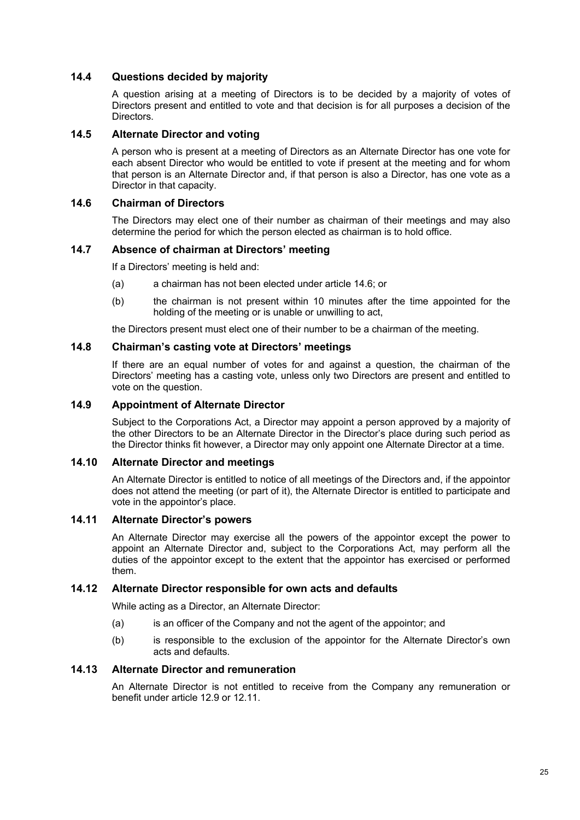### **14.4 Questions decided by majority**

A question arising at a meeting of Directors is to be decided by a majority of votes of Directors present and entitled to vote and that decision is for all purposes a decision of the Directors.

#### **14.5 Alternate Director and voting**

A person who is present at a meeting of Directors as an Alternate Director has one vote for each absent Director who would be entitled to vote if present at the meeting and for whom that person is an Alternate Director and, if that person is also a Director, has one vote as a Director in that capacity.

#### **14.6 Chairman of Directors**

The Directors may elect one of their number as chairman of their meetings and may also determine the period for which the person elected as chairman is to hold office.

#### **14.7 Absence of chairman at Directors' meeting**

If a Directors' meeting is held and:

- (a) a chairman has not been elected under article 14.6; or
- (b) the chairman is not present within 10 minutes after the time appointed for the holding of the meeting or is unable or unwilling to act,

the Directors present must elect one of their number to be a chairman of the meeting.

#### **14.8 Chairman's casting vote at Directors' meetings**

If there are an equal number of votes for and against a question, the chairman of the Directors' meeting has a casting vote, unless only two Directors are present and entitled to vote on the question.

#### **14.9 Appointment of Alternate Director**

Subject to the Corporations Act, a Director may appoint a person approved by a majority of the other Directors to be an Alternate Director in the Director's place during such period as the Director thinks fit however, a Director may only appoint one Alternate Director at a time.

#### **14.10 Alternate Director and meetings**

An Alternate Director is entitled to notice of all meetings of the Directors and, if the appointor does not attend the meeting (or part of it), the Alternate Director is entitled to participate and vote in the appointor's place.

#### **14.11 Alternate Director's powers**

An Alternate Director may exercise all the powers of the appointor except the power to appoint an Alternate Director and, subject to the Corporations Act, may perform all the duties of the appointor except to the extent that the appointor has exercised or performed them.

#### **14.12 Alternate Director responsible for own acts and defaults**

While acting as a Director, an Alternate Director:

- (a) is an officer of the Company and not the agent of the appointor; and
- (b) is responsible to the exclusion of the appointor for the Alternate Director's own acts and defaults.

#### **14.13 Alternate Director and remuneration**

An Alternate Director is not entitled to receive from the Company any remuneration or benefit under article 12.9 or 12.11.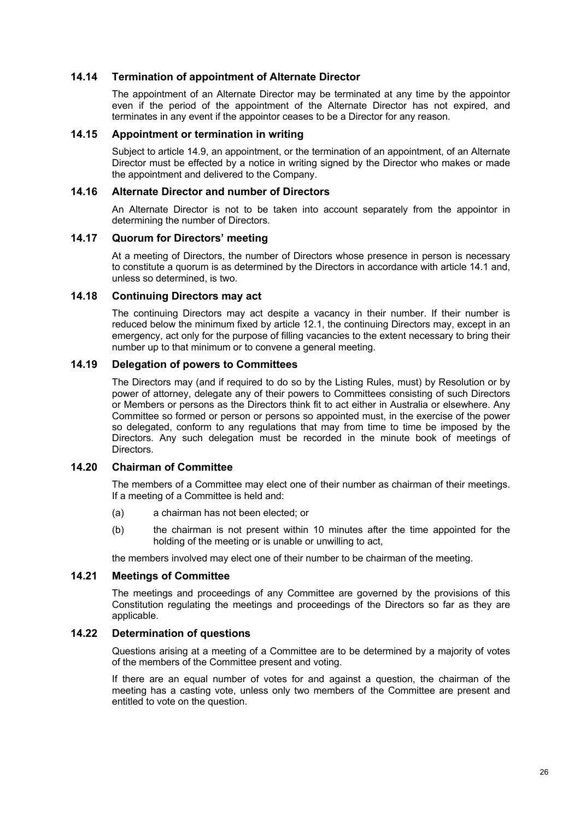#### **14.14 Termination of appointment of Alternate Director**

The appointment of an Alternate Director may be terminated at any time by the appointor even if the period of the appointment of the Alternate Director has not expired, and terminates in any event if the appointor ceases to be a Director for any reason.

#### **14.15 Appointment or termination in writing**

Subject to article 14.9, an appointment, or the termination of an appointment, of an Alternate Director must be effected by a notice in writing signed by the Director who makes or made the appointment and delivered to the Company.

#### **14.16 Alternate Director and number of Directors**

An Alternate Director is not to be taken into account separately from the appointor in determining the number of Directors.

#### **14.17 Quorum for Directors' meeting**

At a meeting of Directors, the number of Directors whose presence in person is necessary to constitute a quorum is as determined by the Directors in accordance with article 14.1 and, unless so determined, is two.

#### **14.18 Continuing Directors may act**

The continuing Directors may act despite a vacancy in their number. If their number is reduced below the minimum fixed by article 12.1, the continuing Directors may, except in an emergency, act only for the purpose of filling vacancies to the extent necessary to bring their number up to that minimum or to convene a general meeting.

#### **14.19 Delegation of powers to Committees**

The Directors may (and if required to do so by the Listing Rules, must) by Resolution or by power of attorney, delegate any of their powers to Committees consisting of such Directors or Members or persons as the Directors think fit to act either in Australia or elsewhere. Any Committee so formed or person or persons so appointed must, in the exercise of the power so delegated, conform to any regulations that may from time to time be imposed by the Directors. Any such delegation must be recorded in the minute book of meetings of **Directors** 

### **14.20 Chairman of Committee**

The members of a Committee may elect one of their number as chairman of their meetings. If a meeting of a Committee is held and:

- (a) a chairman has not been elected; or
- (b) the chairman is not present within 10 minutes after the time appointed for the holding of the meeting or is unable or unwilling to act,

the members involved may elect one of their number to be chairman of the meeting.

#### **14.21 Meetings of Committee**

The meetings and proceedings of any Committee are governed by the provisions of this Constitution regulating the meetings and proceedings of the Directors so far as they are applicable.

### **14.22 Determination of questions**

Questions arising at a meeting of a Committee are to be determined by a majority of votes of the members of the Committee present and voting.

If there are an equal number of votes for and against a question, the chairman of the meeting has a casting vote, unless only two members of the Committee are present and entitled to vote on the question.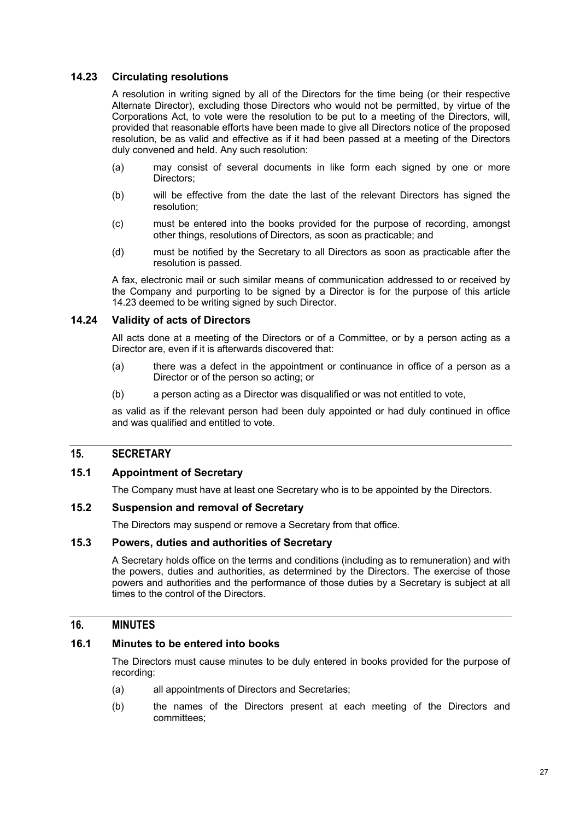### **14.23 Circulating resolutions**

A resolution in writing signed by all of the Directors for the time being (or their respective Alternate Director), excluding those Directors who would not be permitted, by virtue of the Corporations Act, to vote were the resolution to be put to a meeting of the Directors, will, provided that reasonable efforts have been made to give all Directors notice of the proposed resolution, be as valid and effective as if it had been passed at a meeting of the Directors duly convened and held. Any such resolution:

- (a) may consist of several documents in like form each signed by one or more Directors;
- (b) will be effective from the date the last of the relevant Directors has signed the resolution;
- (c) must be entered into the books provided for the purpose of recording, amongst other things, resolutions of Directors, as soon as practicable; and
- (d) must be notified by the Secretary to all Directors as soon as practicable after the resolution is passed.

A fax, electronic mail or such similar means of communication addressed to or received by the Company and purporting to be signed by a Director is for the purpose of this article 14.23 deemed to be writing signed by such Director.

#### **14.24 Validity of acts of Directors**

All acts done at a meeting of the Directors or of a Committee, or by a person acting as a Director are, even if it is afterwards discovered that:

- (a) there was a defect in the appointment or continuance in office of a person as a Director or of the person so acting; or
- (b) a person acting as a Director was disqualified or was not entitled to vote,

as valid as if the relevant person had been duly appointed or had duly continued in office and was qualified and entitled to vote.

### **15. SECRETARY**

#### **15.1 Appointment of Secretary**

The Company must have at least one Secretary who is to be appointed by the Directors.

### **15.2 Suspension and removal of Secretary**

The Directors may suspend or remove a Secretary from that office.

#### **15.3 Powers, duties and authorities of Secretary**

A Secretary holds office on the terms and conditions (including as to remuneration) and with the powers, duties and authorities, as determined by the Directors. The exercise of those powers and authorities and the performance of those duties by a Secretary is subject at all times to the control of the Directors.

### **16. MINUTES**

#### **16.1 Minutes to be entered into books**

The Directors must cause minutes to be duly entered in books provided for the purpose of recording:

- (a) all appointments of Directors and Secretaries;
- (b) the names of the Directors present at each meeting of the Directors and committees;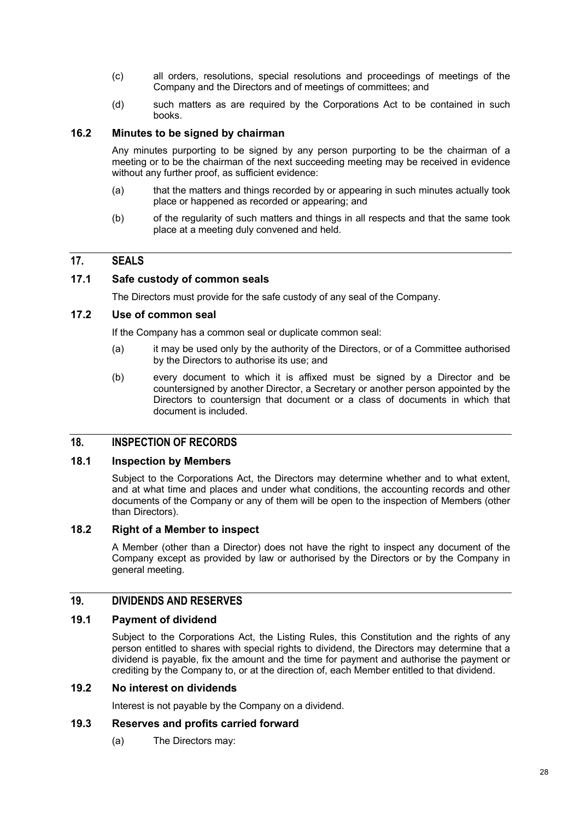- (c) all orders, resolutions, special resolutions and proceedings of meetings of the Company and the Directors and of meetings of committees; and
- (d) such matters as are required by the Corporations Act to be contained in such books.

### **16.2 Minutes to be signed by chairman**

Any minutes purporting to be signed by any person purporting to be the chairman of a meeting or to be the chairman of the next succeeding meeting may be received in evidence without any further proof, as sufficient evidence:

- (a) that the matters and things recorded by or appearing in such minutes actually took place or happened as recorded or appearing; and
- (b) of the regularity of such matters and things in all respects and that the same took place at a meeting duly convened and held.

### **17. SEALS**

#### **17.1 Safe custody of common seals**

The Directors must provide for the safe custody of any seal of the Company.

#### **17.2 Use of common seal**

If the Company has a common seal or duplicate common seal:

- (a) it may be used only by the authority of the Directors, or of a Committee authorised by the Directors to authorise its use; and
- (b) every document to which it is affixed must be signed by a Director and be countersigned by another Director, a Secretary or another person appointed by the Directors to countersign that document or a class of documents in which that document is included.

### **18. INSPECTION OF RECORDS**

#### **18.1 Inspection by Members**

Subject to the Corporations Act, the Directors may determine whether and to what extent, and at what time and places and under what conditions, the accounting records and other documents of the Company or any of them will be open to the inspection of Members (other than Directors).

### **18.2 Right of a Member to inspect**

A Member (other than a Director) does not have the right to inspect any document of the Company except as provided by law or authorised by the Directors or by the Company in general meeting.

### **19. DIVIDENDS AND RESERVES**

#### **19.1 Payment of dividend**

Subject to the Corporations Act, the Listing Rules, this Constitution and the rights of any person entitled to shares with special rights to dividend, the Directors may determine that a dividend is payable, fix the amount and the time for payment and authorise the payment or crediting by the Company to, or at the direction of, each Member entitled to that dividend.

### **19.2 No interest on dividends**

Interest is not payable by the Company on a dividend.

### **19.3 Reserves and profits carried forward**

(a) The Directors may: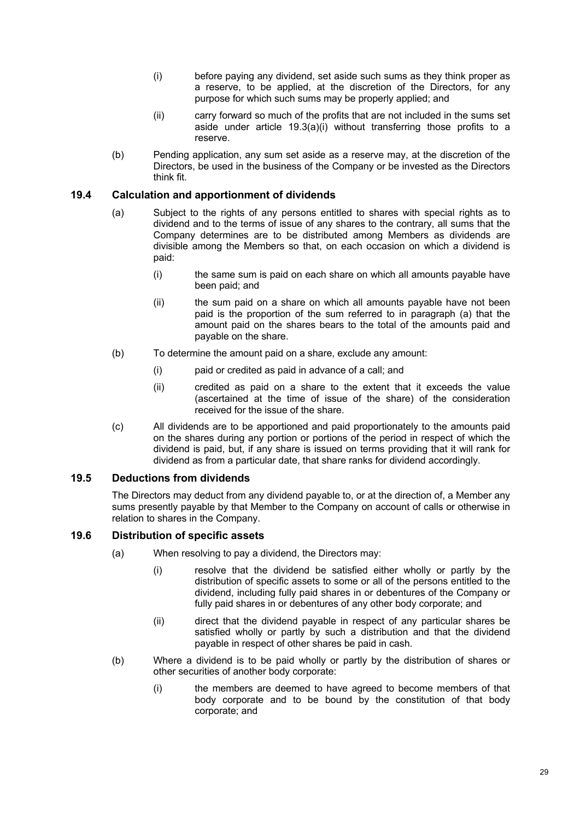- (i) before paying any dividend, set aside such sums as they think proper as a reserve, to be applied, at the discretion of the Directors, for any purpose for which such sums may be properly applied; and
- (ii) carry forward so much of the profits that are not included in the sums set aside under article  $19.3(a)(i)$  without transferring those profits to a reserve.
- (b) Pending application, any sum set aside as a reserve may, at the discretion of the Directors, be used in the business of the Company or be invested as the Directors think fit.

### **19.4 Calculation and apportionment of dividends**

- (a) Subject to the rights of any persons entitled to shares with special rights as to dividend and to the terms of issue of any shares to the contrary, all sums that the Company determines are to be distributed among Members as dividends are divisible among the Members so that, on each occasion on which a dividend is paid:
	- (i) the same sum is paid on each share on which all amounts payable have been paid; and
	- (ii) the sum paid on a share on which all amounts payable have not been paid is the proportion of the sum referred to in paragraph (a) that the amount paid on the shares bears to the total of the amounts paid and payable on the share.
- (b) To determine the amount paid on a share, exclude any amount:
	- (i) paid or credited as paid in advance of a call; and
	- (ii) credited as paid on a share to the extent that it exceeds the value (ascertained at the time of issue of the share) of the consideration received for the issue of the share.
- (c) All dividends are to be apportioned and paid proportionately to the amounts paid on the shares during any portion or portions of the period in respect of which the dividend is paid, but, if any share is issued on terms providing that it will rank for dividend as from a particular date, that share ranks for dividend accordingly.

### **19.5 Deductions from dividends**

The Directors may deduct from any dividend payable to, or at the direction of, a Member any sums presently payable by that Member to the Company on account of calls or otherwise in relation to shares in the Company.

#### **19.6 Distribution of specific assets**

- (a) When resolving to pay a dividend, the Directors may:
	- (i) resolve that the dividend be satisfied either wholly or partly by the distribution of specific assets to some or all of the persons entitled to the dividend, including fully paid shares in or debentures of the Company or fully paid shares in or debentures of any other body corporate; and
	- (ii) direct that the dividend payable in respect of any particular shares be satisfied wholly or partly by such a distribution and that the dividend payable in respect of other shares be paid in cash.
- (b) Where a dividend is to be paid wholly or partly by the distribution of shares or other securities of another body corporate:
	- (i) the members are deemed to have agreed to become members of that body corporate and to be bound by the constitution of that body corporate; and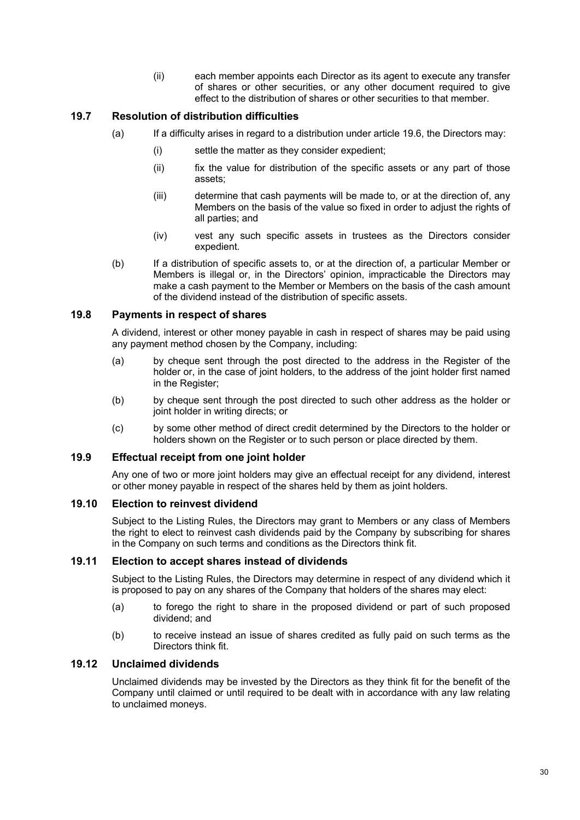(ii) each member appoints each Director as its agent to execute any transfer of shares or other securities, or any other document required to give effect to the distribution of shares or other securities to that member.

### **19.7 Resolution of distribution difficulties**

- (a) If a difficulty arises in regard to a distribution under article 19.6, the Directors may:
	- (i) settle the matter as they consider expedient;
	- (ii) fix the value for distribution of the specific assets or any part of those assets;
	- (iii) determine that cash payments will be made to, or at the direction of, any Members on the basis of the value so fixed in order to adjust the rights of all parties; and
	- (iv) vest any such specific assets in trustees as the Directors consider expedient.
- (b) If a distribution of specific assets to, or at the direction of, a particular Member or Members is illegal or, in the Directors' opinion, impracticable the Directors may make a cash payment to the Member or Members on the basis of the cash amount of the dividend instead of the distribution of specific assets.

### **19.8 Payments in respect of shares**

A dividend, interest or other money payable in cash in respect of shares may be paid using any payment method chosen by the Company, including:

- (a) by cheque sent through the post directed to the address in the Register of the holder or, in the case of joint holders, to the address of the joint holder first named in the Register;
- (b) by cheque sent through the post directed to such other address as the holder or joint holder in writing directs; or
- (c) by some other method of direct credit determined by the Directors to the holder or holders shown on the Register or to such person or place directed by them.

### **19.9 Effectual receipt from one joint holder**

Any one of two or more joint holders may give an effectual receipt for any dividend, interest or other money payable in respect of the shares held by them as joint holders.

#### **19.10 Election to reinvest dividend**

Subject to the Listing Rules, the Directors may grant to Members or any class of Members the right to elect to reinvest cash dividends paid by the Company by subscribing for shares in the Company on such terms and conditions as the Directors think fit.

#### **19.11 Election to accept shares instead of dividends**

Subject to the Listing Rules, the Directors may determine in respect of any dividend which it is proposed to pay on any shares of the Company that holders of the shares may elect:

- (a) to forego the right to share in the proposed dividend or part of such proposed dividend; and
- (b) to receive instead an issue of shares credited as fully paid on such terms as the Directors think fit.

#### **19.12 Unclaimed dividends**

Unclaimed dividends may be invested by the Directors as they think fit for the benefit of the Company until claimed or until required to be dealt with in accordance with any law relating to unclaimed moneys.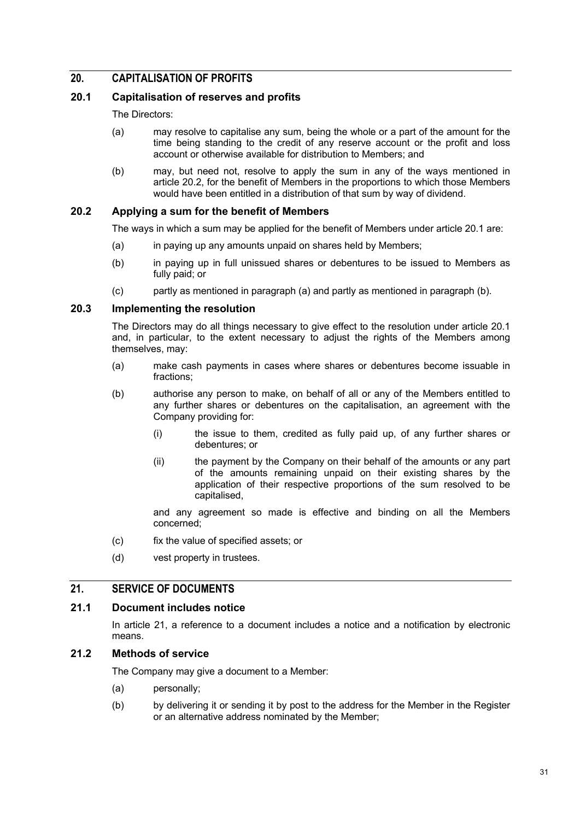### **20. CAPITALISATION OF PROFITS**

### **20.1 Capitalisation of reserves and profits**

The Directors:

- (a) may resolve to capitalise any sum, being the whole or a part of the amount for the time being standing to the credit of any reserve account or the profit and loss account or otherwise available for distribution to Members; and
- (b) may, but need not, resolve to apply the sum in any of the ways mentioned in article 20.2, for the benefit of Members in the proportions to which those Members would have been entitled in a distribution of that sum by way of dividend.

### **20.2 Applying a sum for the benefit of Members**

The ways in which a sum may be applied for the benefit of Members under article 20.1 are:

- (a) in paying up any amounts unpaid on shares held by Members;
- (b) in paying up in full unissued shares or debentures to be issued to Members as fully paid; or
- (c) partly as mentioned in paragraph (a) and partly as mentioned in paragraph (b).

#### **20.3 Implementing the resolution**

The Directors may do all things necessary to give effect to the resolution under article 20.1 and, in particular, to the extent necessary to adjust the rights of the Members among themselves, may:

- (a) make cash payments in cases where shares or debentures become issuable in fractions;
- (b) authorise any person to make, on behalf of all or any of the Members entitled to any further shares or debentures on the capitalisation, an agreement with the Company providing for:
	- (i) the issue to them, credited as fully paid up, of any further shares or debentures; or
	- (ii) the payment by the Company on their behalf of the amounts or any part of the amounts remaining unpaid on their existing shares by the application of their respective proportions of the sum resolved to be capitalised,

and any agreement so made is effective and binding on all the Members concerned;

- (c) fix the value of specified assets; or
- (d) vest property in trustees.

### **21. SERVICE OF DOCUMENTS**

### **21.1 Document includes notice**

In article 21, a reference to a document includes a notice and a notification by electronic means.

### **21.2 Methods of service**

The Company may give a document to a Member:

- (a) personally;
- (b) by delivering it or sending it by post to the address for the Member in the Register or an alternative address nominated by the Member;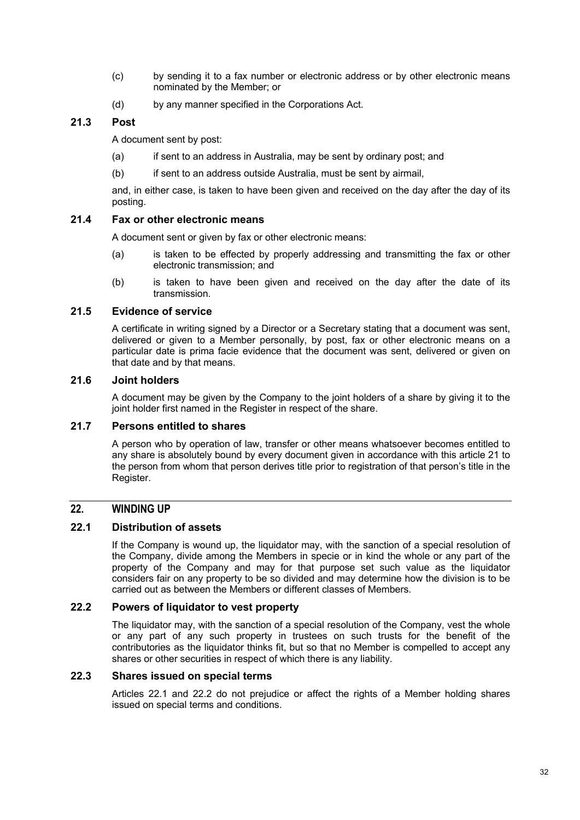- (c) by sending it to a fax number or electronic address or by other electronic means nominated by the Member; or
- (d) by any manner specified in the Corporations Act.

### **21.3 Post**

A document sent by post:

- (a) if sent to an address in Australia, may be sent by ordinary post; and
- (b) if sent to an address outside Australia, must be sent by airmail,

and, in either case, is taken to have been given and received on the day after the day of its posting.

### **21.4 Fax or other electronic means**

A document sent or given by fax or other electronic means:

- (a) is taken to be effected by properly addressing and transmitting the fax or other electronic transmission; and
- (b) is taken to have been given and received on the day after the date of its transmission.

### **21.5 Evidence of service**

A certificate in writing signed by a Director or a Secretary stating that a document was sent, delivered or given to a Member personally, by post, fax or other electronic means on a particular date is prima facie evidence that the document was sent, delivered or given on that date and by that means.

### **21.6 Joint holders**

A document may be given by the Company to the joint holders of a share by giving it to the joint holder first named in the Register in respect of the share.

### **21.7 Persons entitled to shares**

A person who by operation of law, transfer or other means whatsoever becomes entitled to any share is absolutely bound by every document given in accordance with this article 21 to the person from whom that person derives title prior to registration of that person's title in the Register.

### **22. WINDING UP**

### **22.1 Distribution of assets**

If the Company is wound up, the liquidator may, with the sanction of a special resolution of the Company, divide among the Members in specie or in kind the whole or any part of the property of the Company and may for that purpose set such value as the liquidator considers fair on any property to be so divided and may determine how the division is to be carried out as between the Members or different classes of Members.

#### **22.2 Powers of liquidator to vest property**

The liquidator may, with the sanction of a special resolution of the Company, vest the whole or any part of any such property in trustees on such trusts for the benefit of the contributories as the liquidator thinks fit, but so that no Member is compelled to accept any shares or other securities in respect of which there is any liability.

### **22.3 Shares issued on special terms**

Articles 22.1 and 22.2 do not prejudice or affect the rights of a Member holding shares issued on special terms and conditions.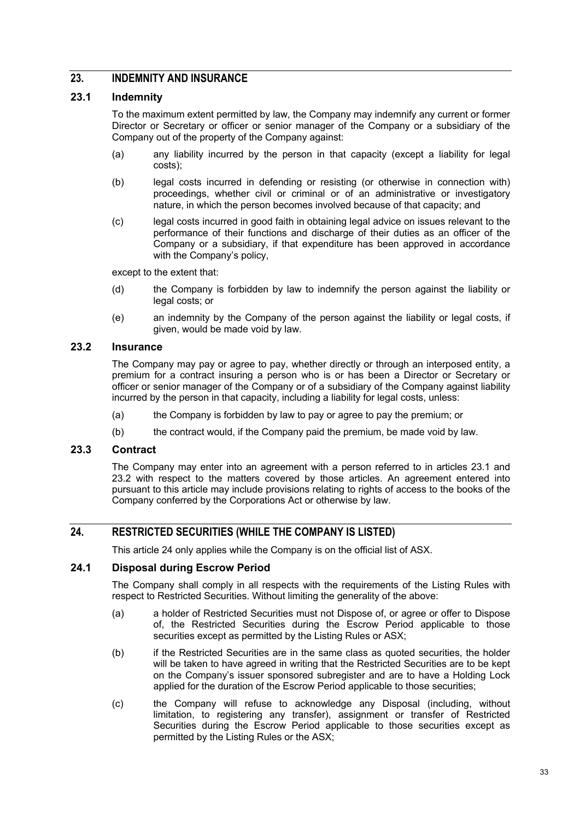### **23. INDEMNITY AND INSURANCE**

#### **23.1 Indemnity**

To the maximum extent permitted by law, the Company may indemnify any current or former Director or Secretary or officer or senior manager of the Company or a subsidiary of the Company out of the property of the Company against:

- (a) any liability incurred by the person in that capacity (except a liability for legal costs);
- (b) legal costs incurred in defending or resisting (or otherwise in connection with) proceedings, whether civil or criminal or of an administrative or investigatory nature, in which the person becomes involved because of that capacity; and
- (c) legal costs incurred in good faith in obtaining legal advice on issues relevant to the performance of their functions and discharge of their duties as an officer of the Company or a subsidiary, if that expenditure has been approved in accordance with the Company's policy,

except to the extent that:

- (d) the Company is forbidden by law to indemnify the person against the liability or legal costs; or
- (e) an indemnity by the Company of the person against the liability or legal costs, if given, would be made void by law.

### **23.2 Insurance**

The Company may pay or agree to pay, whether directly or through an interposed entity, a premium for a contract insuring a person who is or has been a Director or Secretary or officer or senior manager of the Company or of a subsidiary of the Company against liability incurred by the person in that capacity, including a liability for legal costs, unless:

- (a) the Company is forbidden by law to pay or agree to pay the premium; or
- (b) the contract would, if the Company paid the premium, be made void by law.

#### **23.3 Contract**

The Company may enter into an agreement with a person referred to in articles 23.1 and 23.2 with respect to the matters covered by those articles. An agreement entered into pursuant to this article may include provisions relating to rights of access to the books of the Company conferred by the Corporations Act or otherwise by law.

### **24. RESTRICTED SECURITIES (WHILE THE COMPANY IS LISTED)**

This article 24 only applies while the Company is on the official list of ASX.

### **24.1 Disposal during Escrow Period**

The Company shall comply in all respects with the requirements of the Listing Rules with respect to Restricted Securities. Without limiting the generality of the above:

- (a) a holder of Restricted Securities must not Dispose of, or agree or offer to Dispose of, the Restricted Securities during the Escrow Period applicable to those securities except as permitted by the Listing Rules or ASX;
- (b) if the Restricted Securities are in the same class as quoted securities, the holder will be taken to have agreed in writing that the Restricted Securities are to be kept on the Company's issuer sponsored subregister and are to have a Holding Lock applied for the duration of the Escrow Period applicable to those securities;
- (c) the Company will refuse to acknowledge any Disposal (including, without limitation, to registering any transfer), assignment or transfer of Restricted Securities during the Escrow Period applicable to those securities except as permitted by the Listing Rules or the ASX;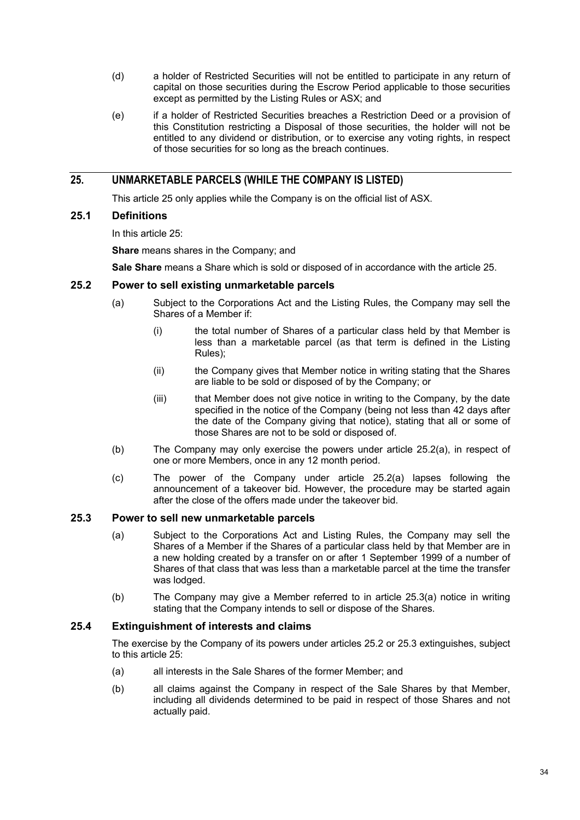- (d) a holder of Restricted Securities will not be entitled to participate in any return of capital on those securities during the Escrow Period applicable to those securities except as permitted by the Listing Rules or ASX; and
- (e) if a holder of Restricted Securities breaches a Restriction Deed or a provision of this Constitution restricting a Disposal of those securities, the holder will not be entitled to any dividend or distribution, or to exercise any voting rights, in respect of those securities for so long as the breach continues.

### **25. UNMARKETABLE PARCELS (WHILE THE COMPANY IS LISTED)**

This article 25 only applies while the Company is on the official list of ASX.

### **25.1 Definitions**

In this article 25:

**Share** means shares in the Company; and

**Sale Share** means a Share which is sold or disposed of in accordance with the article 25.

### **25.2 Power to sell existing unmarketable parcels**

- (a) Subject to the Corporations Act and the Listing Rules, the Company may sell the Shares of a Member if:
	- (i) the total number of Shares of a particular class held by that Member is less than a marketable parcel (as that term is defined in the Listing Rules);
	- (ii) the Company gives that Member notice in writing stating that the Shares are liable to be sold or disposed of by the Company; or
	- (iii) that Member does not give notice in writing to the Company, by the date specified in the notice of the Company (being not less than 42 days after the date of the Company giving that notice), stating that all or some of those Shares are not to be sold or disposed of.
- (b) The Company may only exercise the powers under article 25.2(a), in respect of one or more Members, once in any 12 month period.
- (c) The power of the Company under article 25.2(a) lapses following the announcement of a takeover bid. However, the procedure may be started again after the close of the offers made under the takeover bid.

### **25.3 Power to sell new unmarketable parcels**

- (a) Subject to the Corporations Act and Listing Rules, the Company may sell the Shares of a Member if the Shares of a particular class held by that Member are in a new holding created by a transfer on or after 1 September 1999 of a number of Shares of that class that was less than a marketable parcel at the time the transfer was lodged.
- (b) The Company may give a Member referred to in article 25.3(a) notice in writing stating that the Company intends to sell or dispose of the Shares.

### **25.4 Extinguishment of interests and claims**

The exercise by the Company of its powers under articles 25.2 or 25.3 extinguishes, subject to this article 25:

- (a) all interests in the Sale Shares of the former Member; and
- (b) all claims against the Company in respect of the Sale Shares by that Member, including all dividends determined to be paid in respect of those Shares and not actually paid.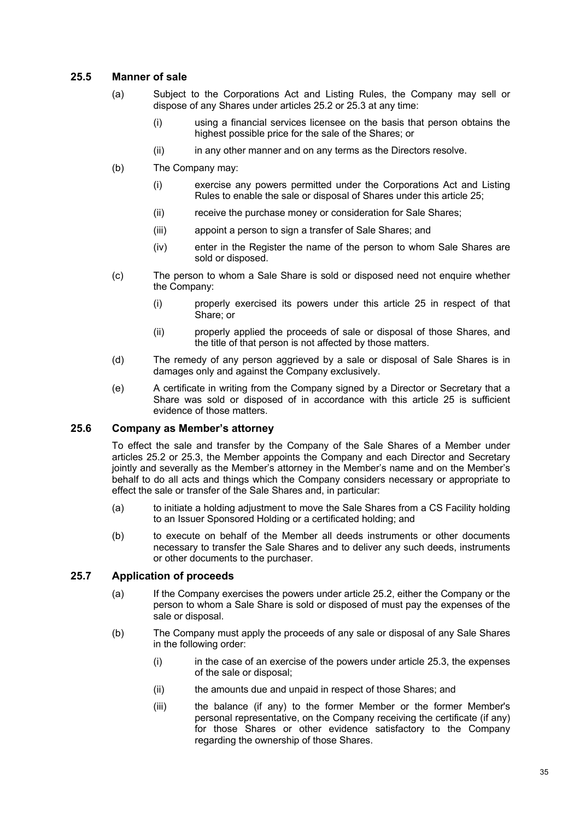### **25.5 Manner of sale**

- (a) Subject to the Corporations Act and Listing Rules, the Company may sell or dispose of any Shares under articles 25.2 or 25.3 at any time:
	- (i) using a financial services licensee on the basis that person obtains the highest possible price for the sale of the Shares; or
	- (ii) in any other manner and on any terms as the Directors resolve.
- (b) The Company may:
	- (i) exercise any powers permitted under the Corporations Act and Listing Rules to enable the sale or disposal of Shares under this article 25;
	- (ii) receive the purchase money or consideration for Sale Shares;
	- (iii) appoint a person to sign a transfer of Sale Shares; and
	- (iv) enter in the Register the name of the person to whom Sale Shares are sold or disposed.
- (c) The person to whom a Sale Share is sold or disposed need not enquire whether the Company:
	- (i) properly exercised its powers under this article 25 in respect of that Share; or
	- (ii) properly applied the proceeds of sale or disposal of those Shares, and the title of that person is not affected by those matters.
- (d) The remedy of any person aggrieved by a sale or disposal of Sale Shares is in damages only and against the Company exclusively.
- (e) A certificate in writing from the Company signed by a Director or Secretary that a Share was sold or disposed of in accordance with this article 25 is sufficient evidence of those matters.

#### **25.6 Company as Member's attorney**

To effect the sale and transfer by the Company of the Sale Shares of a Member under articles 25.2 or 25.3, the Member appoints the Company and each Director and Secretary jointly and severally as the Member's attorney in the Member's name and on the Member's behalf to do all acts and things which the Company considers necessary or appropriate to effect the sale or transfer of the Sale Shares and, in particular:

- (a) to initiate a holding adjustment to move the Sale Shares from a CS Facility holding to an Issuer Sponsored Holding or a certificated holding; and
- (b) to execute on behalf of the Member all deeds instruments or other documents necessary to transfer the Sale Shares and to deliver any such deeds, instruments or other documents to the purchaser.

#### **25.7 Application of proceeds**

- (a) If the Company exercises the powers under article 25.2, either the Company or the person to whom a Sale Share is sold or disposed of must pay the expenses of the sale or disposal.
- (b) The Company must apply the proceeds of any sale or disposal of any Sale Shares in the following order:
	- $(i)$  in the case of an exercise of the powers under article 25.3, the expenses of the sale or disposal;
	- (ii) the amounts due and unpaid in respect of those Shares; and
	- (iii) the balance (if any) to the former Member or the former Member's personal representative, on the Company receiving the certificate (if any) for those Shares or other evidence satisfactory to the Company regarding the ownership of those Shares.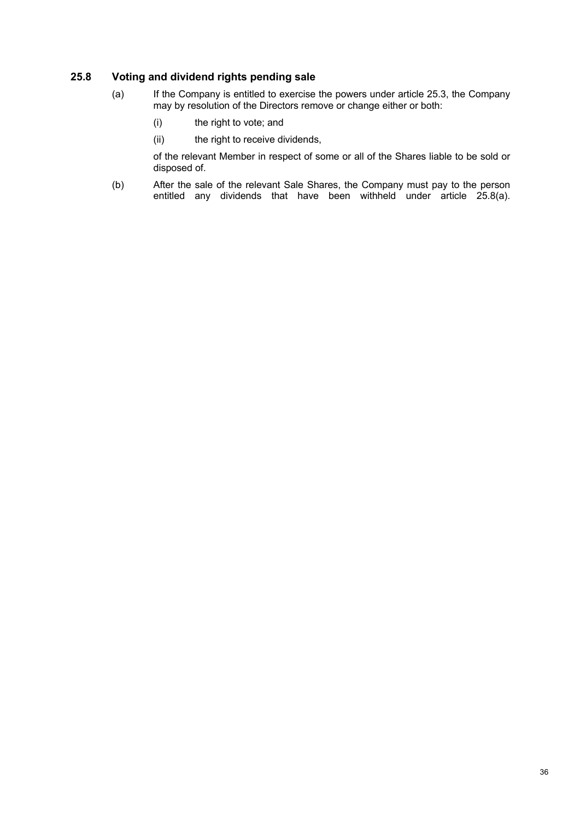### **25.8 Voting and dividend rights pending sale**

- (a) If the Company is entitled to exercise the powers under article 25.3, the Company may by resolution of the Directors remove or change either or both:
	- (i) the right to vote; and
	- (ii) the right to receive dividends,

of the relevant Member in respect of some or all of the Shares liable to be sold or disposed of.

(b) After the sale of the relevant Sale Shares, the Company must pay to the person entitled any dividends that have been withheld under article 25.8(a).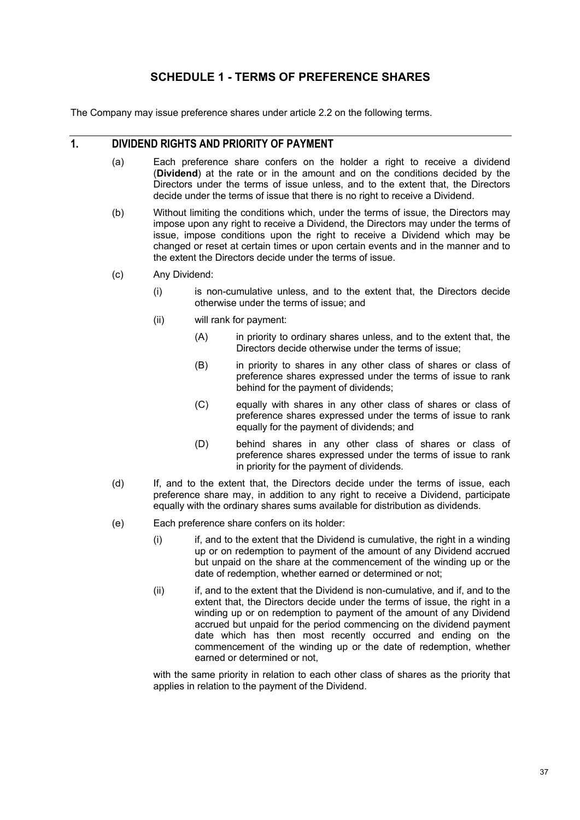### **SCHEDULE 1 - TERMS OF PREFERENCE SHARES**

The Company may issue preference shares under article 2.2 on the following terms.

### **1. DIVIDEND RIGHTS AND PRIORITY OF PAYMENT**

- (a) Each preference share confers on the holder a right to receive a dividend (**Dividend**) at the rate or in the amount and on the conditions decided by the Directors under the terms of issue unless, and to the extent that, the Directors decide under the terms of issue that there is no right to receive a Dividend.
- (b) Without limiting the conditions which, under the terms of issue, the Directors may impose upon any right to receive a Dividend, the Directors may under the terms of issue, impose conditions upon the right to receive a Dividend which may be changed or reset at certain times or upon certain events and in the manner and to the extent the Directors decide under the terms of issue.
- (c) Any Dividend:
	- (i) is non-cumulative unless, and to the extent that, the Directors decide otherwise under the terms of issue; and
	- (ii) will rank for payment:
		- (A) in priority to ordinary shares unless, and to the extent that, the Directors decide otherwise under the terms of issue;
		- (B) in priority to shares in any other class of shares or class of preference shares expressed under the terms of issue to rank behind for the payment of dividends;
		- (C) equally with shares in any other class of shares or class of preference shares expressed under the terms of issue to rank equally for the payment of dividends; and
		- (D) behind shares in any other class of shares or class of preference shares expressed under the terms of issue to rank in priority for the payment of dividends.
- (d) If, and to the extent that, the Directors decide under the terms of issue, each preference share may, in addition to any right to receive a Dividend, participate equally with the ordinary shares sums available for distribution as dividends.
- (e) Each preference share confers on its holder:
	- $(i)$  if, and to the extent that the Dividend is cumulative, the right in a winding up or on redemption to payment of the amount of any Dividend accrued but unpaid on the share at the commencement of the winding up or the date of redemption, whether earned or determined or not;
	- (ii) if, and to the extent that the Dividend is non-cumulative, and if, and to the extent that, the Directors decide under the terms of issue, the right in a winding up or on redemption to payment of the amount of any Dividend accrued but unpaid for the period commencing on the dividend payment date which has then most recently occurred and ending on the commencement of the winding up or the date of redemption, whether earned or determined or not,

with the same priority in relation to each other class of shares as the priority that applies in relation to the payment of the Dividend.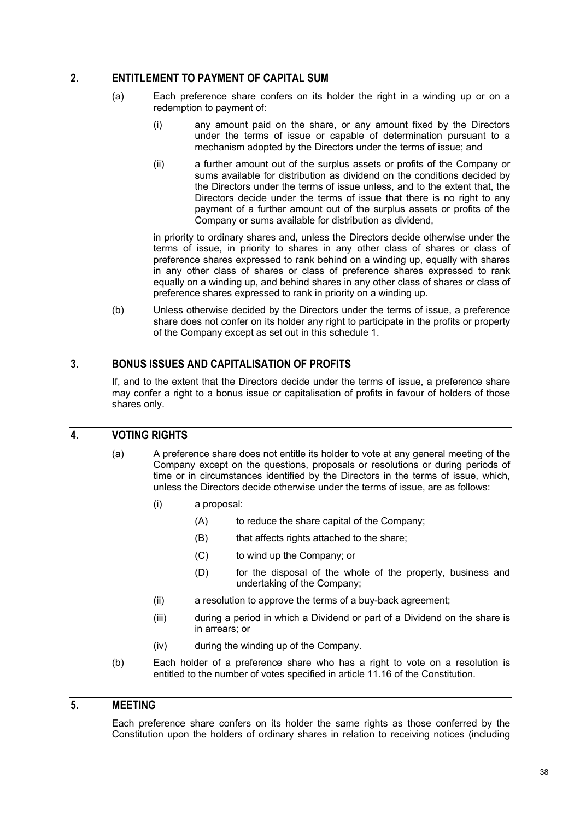### **2. ENTITLEMENT TO PAYMENT OF CAPITAL SUM**

- (a) Each preference share confers on its holder the right in a winding up or on a redemption to payment of:
	- (i) any amount paid on the share, or any amount fixed by the Directors under the terms of issue or capable of determination pursuant to a mechanism adopted by the Directors under the terms of issue; and
	- (ii) a further amount out of the surplus assets or profits of the Company or sums available for distribution as dividend on the conditions decided by the Directors under the terms of issue unless, and to the extent that, the Directors decide under the terms of issue that there is no right to any payment of a further amount out of the surplus assets or profits of the Company or sums available for distribution as dividend,

in priority to ordinary shares and, unless the Directors decide otherwise under the terms of issue, in priority to shares in any other class of shares or class of preference shares expressed to rank behind on a winding up, equally with shares in any other class of shares or class of preference shares expressed to rank equally on a winding up, and behind shares in any other class of shares or class of preference shares expressed to rank in priority on a winding up.

(b) Unless otherwise decided by the Directors under the terms of issue, a preference share does not confer on its holder any right to participate in the profits or property of the Company except as set out in this schedule 1.

### **3. BONUS ISSUES AND CAPITALISATION OF PROFITS**

If, and to the extent that the Directors decide under the terms of issue, a preference share may confer a right to a bonus issue or capitalisation of profits in favour of holders of those shares only.

### **4. VOTING RIGHTS**

- (a) A preference share does not entitle its holder to vote at any general meeting of the Company except on the questions, proposals or resolutions or during periods of time or in circumstances identified by the Directors in the terms of issue, which, unless the Directors decide otherwise under the terms of issue, are as follows:
	- (i) a proposal:
		- (A) to reduce the share capital of the Company:
		- (B) that affects rights attached to the share;
		- (C) to wind up the Company; or
		- (D) for the disposal of the whole of the property, business and undertaking of the Company;
	- (ii) a resolution to approve the terms of a buy-back agreement;
	- (iii) during a period in which a Dividend or part of a Dividend on the share is in arrears; or
	- (iv) during the winding up of the Company.
- (b) Each holder of a preference share who has a right to vote on a resolution is entitled to the number of votes specified in article 11.16 of the Constitution.

### **5. MEETING**

Each preference share confers on its holder the same rights as those conferred by the Constitution upon the holders of ordinary shares in relation to receiving notices (including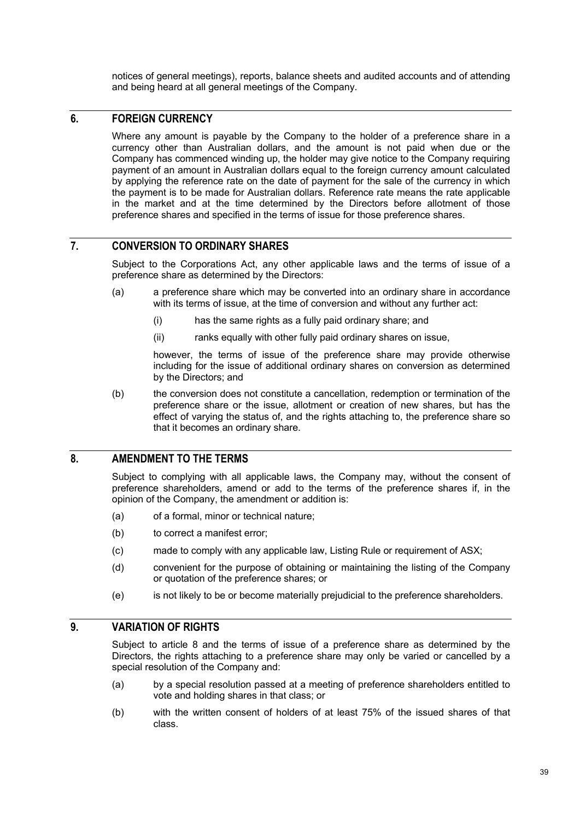notices of general meetings), reports, balance sheets and audited accounts and of attending and being heard at all general meetings of the Company.

### **6. FOREIGN CURRENCY**

Where any amount is payable by the Company to the holder of a preference share in a currency other than Australian dollars, and the amount is not paid when due or the Company has commenced winding up, the holder may give notice to the Company requiring payment of an amount in Australian dollars equal to the foreign currency amount calculated by applying the reference rate on the date of payment for the sale of the currency in which the payment is to be made for Australian dollars. Reference rate means the rate applicable in the market and at the time determined by the Directors before allotment of those preference shares and specified in the terms of issue for those preference shares.

### **7. CONVERSION TO ORDINARY SHARES**

Subject to the Corporations Act, any other applicable laws and the terms of issue of a preference share as determined by the Directors:

- (a) a preference share which may be converted into an ordinary share in accordance with its terms of issue, at the time of conversion and without any further act:
	- (i) has the same rights as a fully paid ordinary share; and
	- (ii) ranks equally with other fully paid ordinary shares on issue,

however, the terms of issue of the preference share may provide otherwise including for the issue of additional ordinary shares on conversion as determined by the Directors; and

(b) the conversion does not constitute a cancellation, redemption or termination of the preference share or the issue, allotment or creation of new shares, but has the effect of varying the status of, and the rights attaching to, the preference share so that it becomes an ordinary share.

### **8. AMENDMENT TO THE TERMS**

Subject to complying with all applicable laws, the Company may, without the consent of preference shareholders, amend or add to the terms of the preference shares if, in the opinion of the Company, the amendment or addition is:

- (a) of a formal, minor or technical nature;
- (b) to correct a manifest error;
- (c) made to comply with any applicable law, Listing Rule or requirement of ASX;
- (d) convenient for the purpose of obtaining or maintaining the listing of the Company or quotation of the preference shares; or
- (e) is not likely to be or become materially prejudicial to the preference shareholders.

### **9. VARIATION OF RIGHTS**

Subject to article 8 and the terms of issue of a preference share as determined by the Directors, the rights attaching to a preference share may only be varied or cancelled by a special resolution of the Company and:

- (a) by a special resolution passed at a meeting of preference shareholders entitled to vote and holding shares in that class; or
- (b) with the written consent of holders of at least 75% of the issued shares of that class.